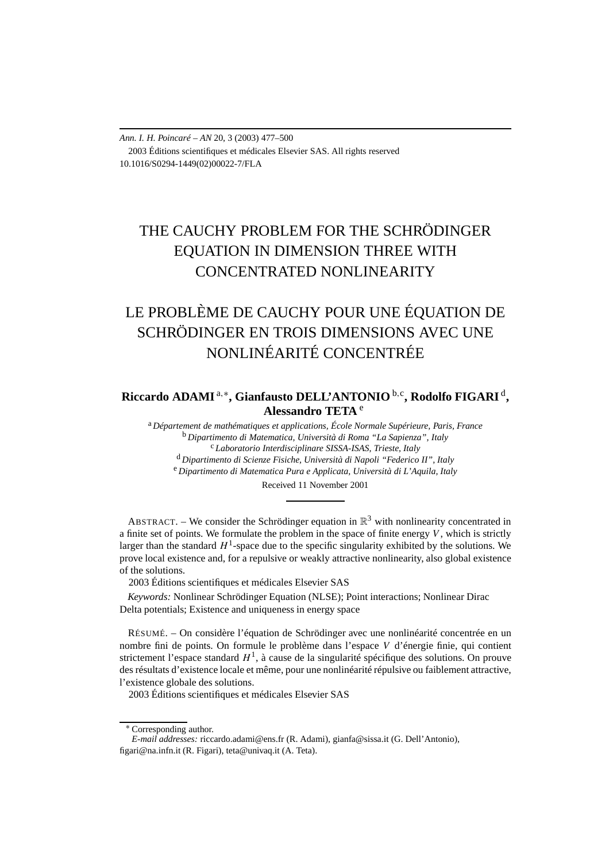*Ann. I. H. Poincaré – AN* 20, 3 (2003) 477–500 2003 Éditions scientifiques et médicales Elsevier SAS. All rights reserved 10.1016/S0294-1449(02)00022-7/FLA

# THE CAUCHY PROBLEM FOR THE SCHRÖDINGER EQUATION IN DIMENSION THREE WITH CONCENTRATED NONLINEARITY

# LE PROBLÈME DE CAUCHY POUR UNE ÉQUATION DE SCHRÖDINGER EN TROIS DIMENSIONS AVEC UNE NONLINÉARITÉ CONCENTRÉE

# **Riccardo ADAMI** <sup>a</sup>*,*∗**, Gianfausto DELL'ANTONIO** <sup>b</sup>*,*<sup>c</sup> **, Rodolfo FIGARI** <sup>d</sup>**, Alessandro TETA** <sup>e</sup>

<sup>a</sup> *Département de mathématiques et applications, École Normale Supérieure, Paris, France* <sup>b</sup> *Dipartimento di Matematica, Università di Roma "La Sapienza", Italy* <sup>c</sup> *Laboratorio Interdisciplinare SISSA-ISAS, Trieste, Italy* <sup>d</sup> *Dipartimento di Scienze Fisiche, Università di Napoli "Federico II", Italy* <sup>e</sup> *Dipartimento di Matematica Pura e Applicata, Università di L'Aquila, Italy* Received 11 November 2001

ABSTRACT. – We consider the Schrödinger equation in  $\mathbb{R}^3$  with nonlinearity concentrated in a finite set of points. We formulate the problem in the space of finite energy *V* , which is strictly larger than the standard  $H^1$ -space due to the specific singularity exhibited by the solutions. We prove local existence and, for a repulsive or weakly attractive nonlinearity, also global existence of the solutions.

2003 Éditions scientifiques et médicales Elsevier SAS

*Keywords:* Nonlinear Schrödinger Equation (NLSE); Point interactions; Nonlinear Dirac Delta potentials; Existence and uniqueness in energy space

RÉSUMÉ. – On considère l'équation de Schrödinger avec une nonlinéarité concentrée en un nombre fini de points. On formule le problème dans l'espace *V* d'énergie finie, qui contient strictement l'espace standard  $H<sup>1</sup>$ , à cause de la singularité spécifique des solutions. On prouve des résultats d'existence locale et même, pour une nonlinéarité répulsive ou faiblement attractive, l'existence globale des solutions.

2003 Éditions scientifiques et médicales Elsevier SAS

<sup>∗</sup> Corresponding author.

*E-mail addresses:* riccardo.adami@ens.fr (R. Adami), gianfa@sissa.it (G. Dell'Antonio), figari@na.infn.it (R. Figari), teta@univaq.it (A. Teta).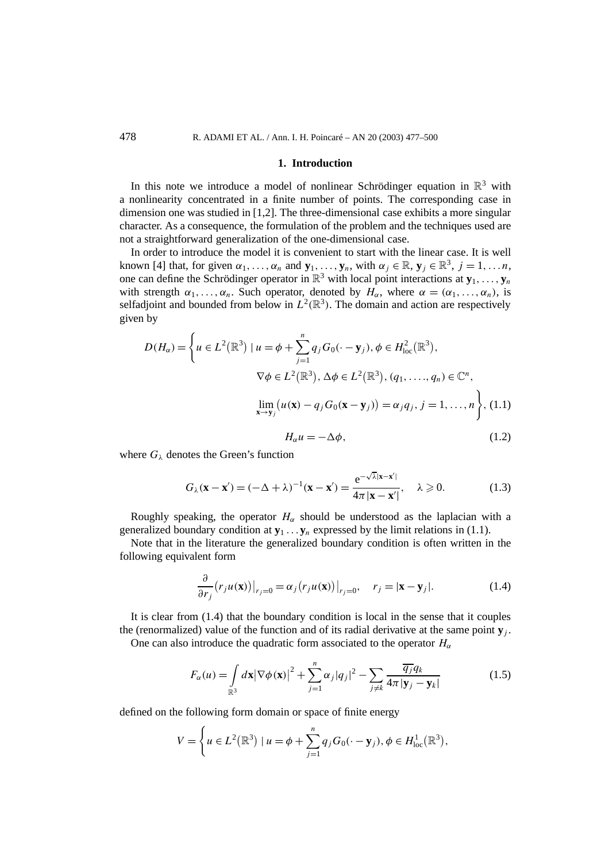#### **1. Introduction**

In this note we introduce a model of nonlinear Schrödinger equation in  $\mathbb{R}^3$  with a nonlinearity concentrated in a finite number of points. The corresponding case in dimension one was studied in [1,2]. The three-dimensional case exhibits a more singular character. As a consequence, the formulation of the problem and the techniques used are not a straightforward generalization of the one-dimensional case.

In order to introduce the model it is convenient to start with the linear case. It is well known [4] that, for given  $\alpha_1, \ldots, \alpha_n$  and  $\mathbf{y}_1, \ldots, \mathbf{y}_n$ , with  $\alpha_j \in \mathbb{R}, \mathbf{y}_j \in \mathbb{R}^3$ ,  $j = 1, \ldots n$ , one can define the Schrödinger operator in  $\mathbb{R}^3$  with local point interactions at  $\mathbf{y}_1, \ldots, \mathbf{y}_n$ with strength  $\alpha_1, \ldots, \alpha_n$ . Such operator, denoted by  $H_\alpha$ , where  $\alpha = (\alpha_1, \ldots, \alpha_n)$ , is selfadjoint and bounded from below in  $L^2(\mathbb{R}^3)$ . The domain and action are respectively given by

$$
D(H_{\alpha}) = \left\{ u \in L^{2}(\mathbb{R}^{3}) \mid u = \phi + \sum_{j=1}^{n} q_{j} G_{0}(\cdot - \mathbf{y}_{j}), \phi \in H_{\text{loc}}^{2}(\mathbb{R}^{3}),
$$
  

$$
\nabla \phi \in L^{2}(\mathbb{R}^{3}), \Delta \phi \in L^{2}(\mathbb{R}^{3}), (q_{1}, \dots, q_{n}) \in \mathbb{C}^{n},
$$
  

$$
\lim_{\mathbf{x} \to \mathbf{y}_{j}} (u(\mathbf{x}) - q_{j} G_{0}(\mathbf{x} - \mathbf{y}_{j})) = \alpha_{j} q_{j}, j = 1, \dots, n \right\}, (1.1)
$$

$$
H_{\alpha}u = -\Delta\phi, \qquad (1.2)
$$

where  $G_{\lambda}$  denotes the Green's function

$$
G_{\lambda}(\mathbf{x} - \mathbf{x}') = (-\Delta + \lambda)^{-1}(\mathbf{x} - \mathbf{x}') = \frac{e^{-\sqrt{\lambda}|\mathbf{x} - \mathbf{x}'|}}{4\pi|\mathbf{x} - \mathbf{x}'|}, \quad \lambda \ge 0.
$$
 (1.3)

Roughly speaking, the operator  $H_\alpha$  should be understood as the laplacian with a generalized boundary condition at  $\mathbf{y}_1 \dots \mathbf{y}_n$  expressed by the limit relations in (1.1).

Note that in the literature the generalized boundary condition is often written in the following equivalent form

$$
\frac{\partial}{\partial r_j} (r_j u(\mathbf{x})) \big|_{r_j = 0} = \alpha_j (r_j u(\mathbf{x})) \big|_{r_j = 0}, \quad r_j = |\mathbf{x} - \mathbf{y}_j|. \tag{1.4}
$$

It is clear from (1.4) that the boundary condition is local in the sense that it couples the (renormalized) value of the function and of its radial derivative at the same point  $\mathbf{y}_i$ .

One can also introduce the quadratic form associated to the operator  $H_\alpha$ 

$$
F_{\alpha}(u) = \int_{\mathbb{R}^3} d\mathbf{x} |\nabla \phi(\mathbf{x})|^2 + \sum_{j=1}^n \alpha_j |q_j|^2 - \sum_{j \neq k} \frac{\overline{q_j} q_k}{4\pi |\mathbf{y}_j - \mathbf{y}_k|}
$$
(1.5)

defined on the following form domain or space of finite energy

$$
V = \left\{ u \in L^{2}(\mathbb{R}^{3}) \mid u = \phi + \sum_{j=1}^{n} q_{j} G_{0}(\cdot - \mathbf{y}_{j}), \phi \in H_{\text{loc}}^{1}(\mathbb{R}^{3}), \right\}
$$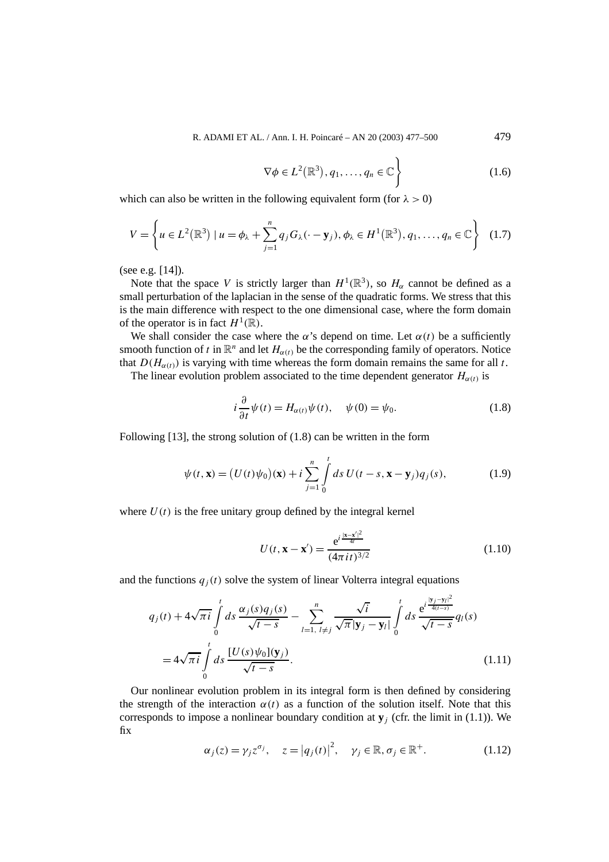$$
\nabla \phi \in L^2(\mathbb{R}^3), q_1, \dots, q_n \in \mathbb{C} \bigg\}
$$
 (1.6)

which can also be written in the following equivalent form (for  $\lambda > 0$ )

$$
V = \left\{ u \in L^2(\mathbb{R}^3) \mid u = \phi_{\lambda} + \sum_{j=1}^n q_j G_{\lambda}(\cdot - \mathbf{y}_j), \phi_{\lambda} \in H^1(\mathbb{R}^3), q_1, \dots, q_n \in \mathbb{C} \right\}
$$
 (1.7)

(see e.g. [14]).

Note that the space *V* is strictly larger than  $H^1(\mathbb{R}^3)$ , so  $H_\alpha$  cannot be defined as a small perturbation of the laplacian in the sense of the quadratic forms. We stress that this is the main difference with respect to the one dimensional case, where the form domain of the operator is in fact  $H^1(\mathbb{R})$ .

We shall consider the case where the  $\alpha$ 's depend on time. Let  $\alpha(t)$  be a sufficiently smooth function of *t* in  $\mathbb{R}^n$  and let  $H_{\alpha(t)}$  be the corresponding family of operators. Notice that  $D(H_{\alpha(t)})$  is varying with time whereas the form domain remains the same for all *t*.

The linear evolution problem associated to the time dependent generator  $H_{\alpha(t)}$  is

$$
i\frac{\partial}{\partial t}\psi(t) = H_{\alpha(t)}\psi(t), \quad \psi(0) = \psi_0.
$$
 (1.8)

Following [13], the strong solution of (1.8) can be written in the form

$$
\psi(t, \mathbf{x}) = (U(t)\psi_0)(\mathbf{x}) + i\sum_{j=1}^n \int_0^t ds \ U(t-s, \mathbf{x} - \mathbf{y}_j) q_j(s), \tag{1.9}
$$

where  $U(t)$  is the free unitary group defined by the integral kernel

$$
U(t, \mathbf{x} - \mathbf{x}') = \frac{e^{i\frac{|\mathbf{x} - \mathbf{x}'|^2}{4t}}}{(4\pi i t)^{3/2}}
$$
(1.10)

and the functions  $q_i(t)$  solve the system of linear Volterra integral equations

$$
q_j(t) + 4\sqrt{\pi i} \int_0^t ds \frac{\alpha_j(s)q_j(s)}{\sqrt{t-s}} - \sum_{l=1, l \neq j}^n \frac{\sqrt{i}}{\sqrt{\pi}|\mathbf{y}_j - \mathbf{y}_l|} \int_0^t ds \frac{e^{i\frac{|\mathbf{y}_j - \mathbf{y}_l|^2}{4(t-s)}}}{\sqrt{t-s}} q_l(s)
$$
  
=  $4\sqrt{\pi i} \int_0^t ds \frac{[U(s)\psi_0](\mathbf{y}_j)}{\sqrt{t-s}}.$  (1.11)

Our nonlinear evolution problem in its integral form is then defined by considering the strength of the interaction  $\alpha(t)$  as a function of the solution itself. Note that this corresponds to impose a nonlinear boundary condition at  $\mathbf{y}_i$  (cfr. the limit in (1.1)). We fix

$$
\alpha_j(z) = \gamma_j z^{\sigma_j}, \quad z = |q_j(t)|^2, \quad \gamma_j \in \mathbb{R}, \sigma_j \in \mathbb{R}^+.
$$
 (1.12)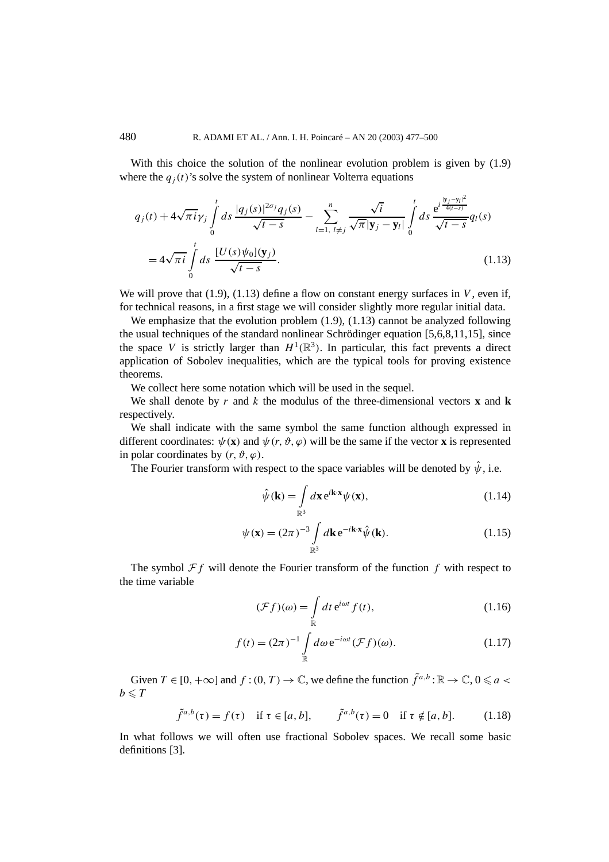With this choice the solution of the nonlinear evolution problem is given by  $(1.9)$ where the  $q_i(t)$ 's solve the system of nonlinear Volterra equations

$$
q_j(t) + 4\sqrt{\pi i} \gamma_j \int_0^t ds \frac{|q_j(s)|^{2\sigma_j} q_j(s)}{\sqrt{t-s}} - \sum_{l=1, l \neq j}^n \frac{\sqrt{i}}{\sqrt{\pi} |\mathbf{y}_j - \mathbf{y}_l|} \int_0^t ds \frac{e^{i \frac{|\mathbf{y}_j - \mathbf{y}_l|^2}{4(t-s)}}}{\sqrt{t-s}} q_l(s)
$$
  
=  $4\sqrt{\pi i} \int_0^t ds \frac{[U(s)\psi_0](\mathbf{y}_j)}{\sqrt{t-s}}.$  (1.13)

We will prove that  $(1.9)$ ,  $(1.13)$  define a flow on constant energy surfaces in *V*, even if, for technical reasons, in a first stage we will consider slightly more regular initial data.

We emphasize that the evolution problem  $(1.9)$ ,  $(1.13)$  cannot be analyzed following the usual techniques of the standard nonlinear Schrödinger equation [5,6,8,11,15], since the space *V* is strictly larger than  $H^1(\mathbb{R}^3)$ . In particular, this fact prevents a direct application of Sobolev inequalities, which are the typical tools for proving existence theorems.

We collect here some notation which will be used in the sequel.

We shall denote by  $r$  and  $k$  the modulus of the three-dimensional vectors **x** and **k** respectively.

We shall indicate with the same symbol the same function although expressed in different coordinates:  $\psi(\mathbf{x})$  and  $\psi(r, \vartheta, \varphi)$  will be the same if the vector **x** is represented in polar coordinates by  $(r, \vartheta, \varphi)$ .

The Fourier transform with respect to the space variables will be denoted by  $\hat{\psi}$ , i.e.

$$
\hat{\psi}(\mathbf{k}) = \int_{\mathbb{R}^3} d\mathbf{x} e^{i\mathbf{k}\cdot\mathbf{x}} \psi(\mathbf{x}),\tag{1.14}
$$

 $\overline{2}$ 

$$
\psi(\mathbf{x}) = (2\pi)^{-3} \int\limits_{\mathbb{R}^3} d\mathbf{k} \, \mathrm{e}^{-i\mathbf{k} \cdot \mathbf{x}} \hat{\psi}(\mathbf{k}).\tag{1.15}
$$

The symbol  $\mathcal{F}f$  will denote the Fourier transform of the function  $f$  with respect to the time variable

$$
(\mathcal{F}f)(\omega) = \int_{\mathbb{R}} dt \,\mathrm{e}^{i\omega t} f(t),\tag{1.16}
$$

$$
f(t) = (2\pi)^{-1} \int_{\mathbb{R}} d\omega \,\mathrm{e}^{-i\omega t} (\mathcal{F}f)(\omega). \tag{1.17}
$$

Given  $T \in [0, +\infty]$  and  $f:(0, T) \to \mathbb{C}$ , we define the function  $\tilde{f}^{a,b} : \mathbb{R} \to \mathbb{C}$ ,  $0 \le a <$  $b \leqslant T$ 

$$
\tilde{f}^{a,b}(\tau) = f(\tau) \quad \text{if } \tau \in [a,b], \qquad \tilde{f}^{a,b}(\tau) = 0 \quad \text{if } \tau \notin [a,b]. \tag{1.18}
$$

In what follows we will often use fractional Sobolev spaces. We recall some basic definitions [3].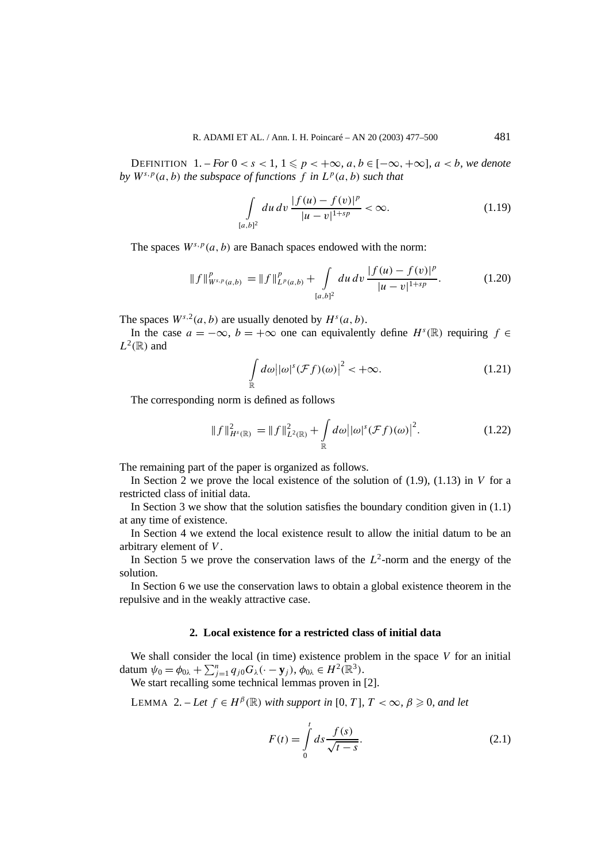DEFINITION  $1.-For\ 0 < s < 1, 1 \leqslant p < +\infty, a,b \in [-\infty, +\infty], a < b, we denote$ *by*  $W^{s,p}(a, b)$  *the subspace of functions f in*  $L^p(a, b)$  *such that* 

$$
\int_{[a,b]^2} du \, dv \, \frac{|f(u) - f(v)|^p}{|u - v|^{1 + sp}} < \infty. \tag{1.19}
$$

The spaces  $W^{s,p}(a, b)$  are Banach spaces endowed with the norm:

$$
\|f\|_{W^{s,p}(a,b)}^p = \|f\|_{L^p(a,b)}^p + \int_{[a,b]^2} du \, dv \, \frac{|f(u) - f(v)|^p}{|u - v|^{1+sp}}. \tag{1.20}
$$

The spaces  $W^{s,2}(a, b)$  are usually denoted by  $H^s(a, b)$ .

In the case  $a = -\infty$ ,  $b = +\infty$  one can equivalently define  $H<sup>s</sup>(\mathbb{R})$  requiring  $f \in$  $L^2(\mathbb{R})$  and

$$
\int_{\mathbb{R}} d\omega |\omega|^{s} (\mathcal{F}f)(\omega)|^{2} < +\infty.
$$
 (1.21)

The corresponding norm is defined as follows

$$
||f||_{H^{s}(\mathbb{R})}^{2} = ||f||_{L^{2}(\mathbb{R})}^{2} + \int_{\mathbb{R}} d\omega | |\omega|^{s} (\mathcal{F}f)(\omega)|^{2}.
$$
 (1.22)

The remaining part of the paper is organized as follows.

In Section 2 we prove the local existence of the solution of (1.9), (1.13) in *V* for a restricted class of initial data.

In Section 3 we show that the solution satisfies the boundary condition given in  $(1.1)$ at any time of existence.

In Section 4 we extend the local existence result to allow the initial datum to be an arbitrary element of *V* .

In Section 5 we prove the conservation laws of the *L*2-norm and the energy of the solution.

In Section 6 we use the conservation laws to obtain a global existence theorem in the repulsive and in the weakly attractive case.

## **2. Local existence for a restricted class of initial data**

We shall consider the local (in time) existence problem in the space *V* for an initial datum  $\psi_0 = \phi_{0\lambda} + \sum_{j=1}^n q_{j0} G_{\lambda}(\cdot - \mathbf{y}_j), \phi_{0\lambda} \in H^2(\mathbb{R}^3)$ .

We start recalling some technical lemmas proven in [2].

LEMMA 2. − *Let*  $f ∈ H<sup>β</sup>(ℝ)$  *with support in* [0*, T*]*, T* < ∞*,*  $β ≥ 0$ *, and let* 

$$
F(t) = \int_{0}^{t} ds \frac{f(s)}{\sqrt{t - s}}.
$$
 (2.1)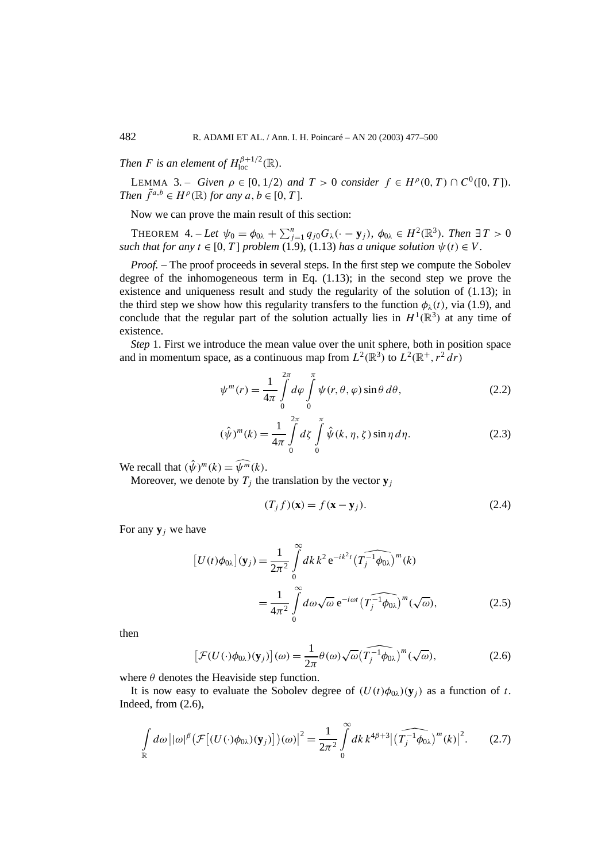*Then F is an element of*  $H_{\text{loc}}^{\beta+1/2}(\mathbb{R})$ *.* 

**LEMMA** 3. – *Given*  $\rho \in [0, 1/2)$  *and*  $T > 0$  *consider*  $f \in H^{\rho}(0, T) \cap C^{0}([0, T])$ *. Then*  $\tilde{f}^{a,b} \in H^{\rho}(\mathbb{R})$  *for any*  $a, b \in [0, T]$ *.* 

Now we can prove the main result of this section:

THEOREM  $4. - Let \psi_0 = \phi_{0\lambda} + \sum_{j=1}^n q_{j0} G_{\lambda}(\cdot - \mathbf{y}_j)$ ,  $\phi_{0\lambda} \in H^2(\mathbb{R}^3)$ *. Then*  $\exists T > 0$ *such that for any*  $t \in [0, T]$  *problem* (1.9), (1.13) *has a unique solution*  $\psi(t) \in V$ .

*Proof.* – The proof proceeds in several steps. In the first step we compute the Sobolev degree of the inhomogeneous term in Eq. (1.13); in the second step we prove the existence and uniqueness result and study the regularity of the solution of (1.13); in the third step we show how this regularity transfers to the function  $\phi_{\lambda}(t)$ , via (1.9), and conclude that the regular part of the solution actually lies in  $H^1(\mathbb{R}^3)$  at any time of existence.

*Step* 1. First we introduce the mean value over the unit sphere, both in position space and in momentum space, as a continuous map from  $L^2(\mathbb{R}^3)$  to  $L^2(\mathbb{R}^+, r^2 dr)$ 

$$
\psi^{m}(r) = \frac{1}{4\pi} \int_{0}^{2\pi} d\varphi \int_{0}^{\pi} \psi(r,\theta,\varphi) \sin\theta \,d\theta, \qquad (2.2)
$$

$$
(\hat{\psi})^m(k) = \frac{1}{4\pi} \int_{0}^{2\pi} d\zeta \int_{0}^{\pi} \hat{\psi}(k, \eta, \zeta) \sin \eta \, d\eta.
$$
 (2.3)

We recall that  $(\hat{\psi})^m(k) = \widehat{\psi^m}(k)$ .

Moreover, we denote by  $T_i$  the translation by the vector  $y_i$ 

$$
(T_j f)(\mathbf{x}) = f(\mathbf{x} - \mathbf{y}_j). \tag{2.4}
$$

For any  $y_i$  we have

$$
\left[U(t)\phi_{0\lambda}\right](\mathbf{y}_j) = \frac{1}{2\pi^2} \int_0^\infty dk \, k^2 e^{-ik^2t} \left(\widehat{T_j^{-1}\phi_{0\lambda}}\right)^m(k)
$$

$$
= \frac{1}{4\pi^2} \int_0^\infty d\omega \sqrt{\omega} e^{-i\omega t} \left(\widehat{T_j^{-1}\phi_{0\lambda}}\right)^m(\sqrt{\omega}), \tag{2.5}
$$

then

$$
\left[\mathcal{F}(U(\cdot)\phi_{0\lambda})(\mathbf{y}_j)\right](\omega) = \frac{1}{2\pi} \theta(\omega) \sqrt{\omega} \widehat{\left(T_j^{-1}\phi_{0\lambda}\right)}^m (\sqrt{\omega}),\tag{2.6}
$$

where  $\theta$  denotes the Heaviside step function.

It is now easy to evaluate the Sobolev degree of  $(U(t)\phi_{0\lambda})(y_i)$  as a function of t. Indeed, from (2.6),

$$
\int_{\mathbb{R}} d\omega \left| |\omega|^{\beta} \left( \mathcal{F}[(U(\cdot)\phi_{0\lambda})(\mathbf{y}_{j})] \right) (\omega) \right|^{2} = \frac{1}{2\pi^{2}} \int_{0}^{\infty} dk \, k^{4\beta+3} \left| \left( \widehat{T_{j}^{-1}\phi_{0\lambda}} \right)^{m}(k) \right|^{2}.
$$
 (2.7)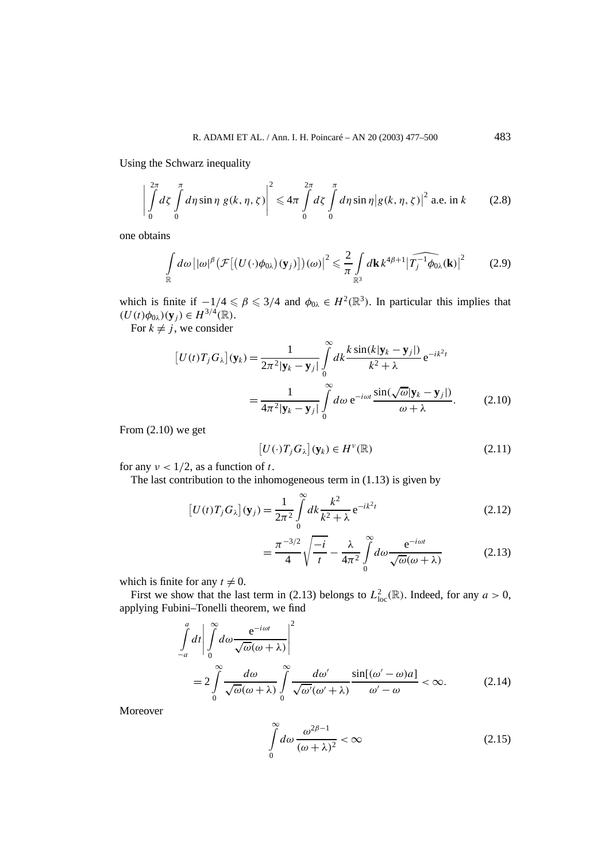Using the Schwarz inequality

$$
\left| \int_{0}^{2\pi} d\zeta \int_{0}^{\pi} d\eta \sin \eta \, g(k, \eta, \zeta) \right|^{2} \leq 4\pi \int_{0}^{2\pi} d\zeta \int_{0}^{\pi} d\eta \sin \eta \big| g(k, \eta, \zeta) \big|^{2} \text{ a.e. in } k \tag{2.8}
$$

one obtains

$$
\int_{\mathbb{R}} d\omega \left| |\omega|^{\beta} \left( \mathcal{F} \left[ \left( U(\cdot) \phi_{0\lambda} \right) (\mathbf{y}_j) \right] \right) (\omega) \right|^2 \leq \frac{2}{\pi} \int_{\mathbb{R}^3} d\mathbf{k} \, k^{4\beta+1} \left| \widehat{T_j^{-1} \phi_{0\lambda}} (\mathbf{k}) \right|^2 \tag{2.9}
$$

which is finite if  $-1/4 \le \beta \le 3/4$  and  $\phi_{0\lambda} \in H^2(\mathbb{R}^3)$ . In particular this implies that  $(U(t)\phi_{0\lambda})(y_j) \in H^{3/4}(\mathbb{R})$ .

For  $k \neq j$ , we consider

$$
\begin{aligned} \left[U(t)T_j G_\lambda\right](\mathbf{y}_k) &= \frac{1}{2\pi^2 |\mathbf{y}_k - \mathbf{y}_j|} \int_0^\infty dk \frac{k \sin(k|\mathbf{y}_k - \mathbf{y}_j|)}{k^2 + \lambda} \,\mathrm{e}^{-ik^2 t} \\ &= \frac{1}{4\pi^2 |\mathbf{y}_k - \mathbf{y}_j|} \int_0^\infty d\omega \,\mathrm{e}^{-i\omega t} \frac{\sin(\sqrt{\omega}|\mathbf{y}_k - \mathbf{y}_j|)}{\omega + \lambda}. \end{aligned} \tag{2.10}
$$

From (2.10) we get

$$
[U(\cdot)T_jG_\lambda](\mathbf{y}_k) \in H^{\nu}(\mathbb{R})
$$
\n(2.11)

for any  $\nu < 1/2$ , as a function of *t*.

The last contribution to the inhomogeneous term in (1.13) is given by

$$
\left[U(t)T_jG_\lambda\right](\mathbf{y}_j) = \frac{1}{2\pi^2} \int\limits_0^\infty dk \frac{k^2}{k^2 + \lambda} e^{-ik^2t}
$$
\n(2.12)

$$
= \frac{\pi^{-3/2}}{4} \sqrt{\frac{-i}{t}} - \frac{\lambda}{4\pi^2} \int_0^\infty d\omega \frac{e^{-i\omega t}}{\sqrt{\omega}(\omega + \lambda)}
$$
(2.13)

which is finite for any  $t \neq 0$ .

First we show that the last term in (2.13) belongs to  $L^2_{loc}(\mathbb{R})$ . Indeed, for any  $a > 0$ , applying Fubini–Tonelli theorem, we find

$$
\int_{-a}^{a} dt \left| \int_{0}^{\infty} d\omega \frac{e^{-i\omega t}}{\sqrt{\omega}(\omega + \lambda)} \right|^{2}
$$
  
= 
$$
2 \int_{0}^{\infty} \frac{d\omega}{\sqrt{\omega}(\omega + \lambda)} \int_{0}^{\infty} \frac{d\omega'}{\sqrt{\omega'}(\omega' + \lambda)} \frac{\sin[(\omega' - \omega)a]}{\omega' - \omega} < \infty.
$$
 (2.14)

Moreover

$$
\int_{0}^{\infty} d\omega \, \frac{\omega^{2\beta - 1}}{(\omega + \lambda)^2} < \infty \tag{2.15}
$$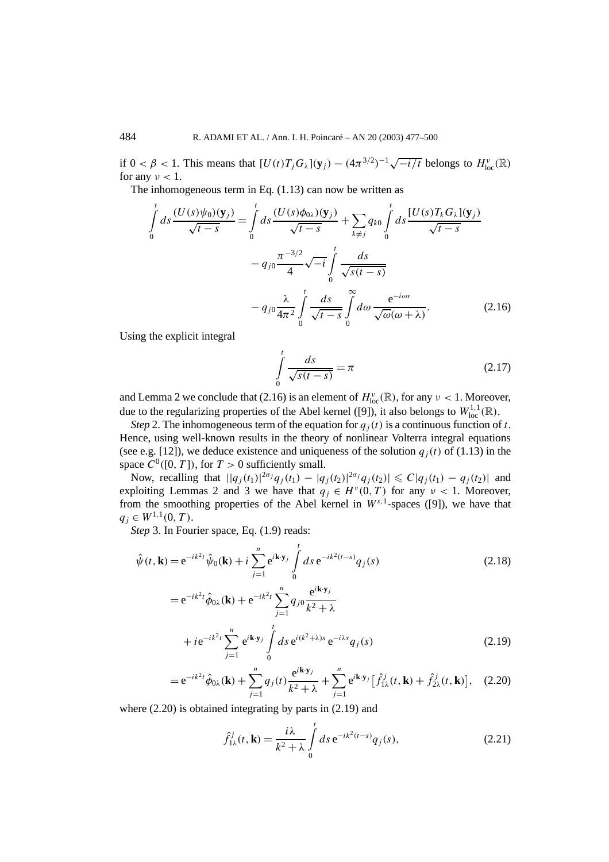if  $0 < \beta < 1$ . This means that  $[U(t)T_jG_\lambda](\mathbf{y}_j) - (4\pi^{3/2})^{-1}\sqrt{-i/t}$  belongs to  $H_{\text{loc}}^{\nu}(\mathbb{R})$ for any  $\nu < 1$ .

The inhomogeneous term in Eq.  $(1.13)$  can now be written as

$$
\int_{0}^{t} ds \frac{(U(s)\psi_{0})(\mathbf{y}_{j})}{\sqrt{t-s}} = \int_{0}^{t} ds \frac{(U(s)\phi_{0\lambda})(\mathbf{y}_{j})}{\sqrt{t-s}} + \sum_{k \neq j} q_{k0} \int_{0}^{t} ds \frac{[U(s)T_{k}G_{\lambda}](\mathbf{y}_{j})}{\sqrt{t-s}}
$$

$$
-q_{j0} \frac{\pi^{-3/2}}{4} \sqrt{-i} \int_{0}^{t} \frac{ds}{\sqrt{s(t-s)}}
$$

$$
-q_{j0} \frac{\lambda}{4\pi^{2}} \int_{0}^{t} \frac{ds}{\sqrt{t-s}} \int_{0}^{\infty} d\omega \frac{e^{-i\omega s}}{\sqrt{\omega(\omega+\lambda)}}.
$$
(2.16)

Using the explicit integral

$$
\int_{0}^{t} \frac{ds}{\sqrt{s(t-s)}} = \pi
$$
\n(2.17)

and Lemma 2 we conclude that (2.16) is an element of  $H^{\nu}_{loc}(\mathbb{R})$ , for any  $\nu < 1$ . Moreover, due to the regularizing properties of the Abel kernel ([9]), it also belongs to  $W^{1,1}_{loc}(\mathbb{R})$ .

*Step* 2. The inhomogeneous term of the equation for  $q_j(t)$  is a continuous function of *t*. Hence, using well-known results in the theory of nonlinear Volterra integral equations (see e.g. [12]), we deduce existence and uniqueness of the solution  $q_j(t)$  of (1.13) in the space  $C^0([0, T])$ , for  $T > 0$  sufficiently small.

Now, recalling that  $||q_j(t_1)|^{2\sigma_j}q_j(t_1) - |q_j(t_2)|^{2\sigma_j}q_j(t_2)| \leq C|q_j(t_1) - q_j(t_2)|$  and exploiting Lemmas 2 and 3 we have that  $q_j \in H^{\nu}(0,T)$  for any  $\nu < 1$ . Moreover, from the smoothing properties of the Abel kernel in *Ws,*1-spaces ([9]), we have that  $q_i \in W^{1,1}(0,T)$ .

*Step* 3. In Fourier space, Eq. (1.9) reads:

$$
\hat{\psi}(t, \mathbf{k}) = e^{-ik^2t} \hat{\psi}_0(\mathbf{k}) + i \sum_{j=1}^n e^{i\mathbf{k} \cdot \mathbf{y}_j} \int_0^t ds \, e^{-ik^2(t-s)} q_j(s)
$$
\n
$$
= e^{-ik^2t} \hat{\phi}_0(\mathbf{k}) + e^{-ik^2t} \sum_{j=1}^n a_{j0} \frac{e^{ik \cdot \mathbf{y}_j}}{z}
$$
\n(2.18)

$$
= e^{-ik^{2}t} \hat{\phi}_{0\lambda}(\mathbf{k}) + e^{-ik^{2}t} \sum_{j=1}^{n} q_{j0} \frac{e^{-i\omega_{j}}}{k^{2} + \lambda}
$$
  
+  $i e^{-ik^{2}t} \sum_{j=1}^{n} e^{ik \cdot \mathbf{y}_{j}} \int_{0}^{t} ds e^{i(k^{2} + \lambda)s} e^{-i\lambda s} q_{j}(s)$  (2.19)

$$
=e^{-ik^2t}\hat{\phi}_{0\lambda}(\mathbf{k})+\sum_{j=1}^n q_j(t)\frac{e^{i\mathbf{k}\cdot\mathbf{y}_j}}{k^2+\lambda}+\sum_{j=1}^n e^{i\mathbf{k}\cdot\mathbf{y}_j}\big[\hat{f}_{1\lambda}^j(t,\mathbf{k})+\hat{f}_{2\lambda}^j(t,\mathbf{k})\big],\quad(2.20)
$$

where (2.20) is obtained integrating by parts in (2.19) and

$$
\hat{f}_{1\lambda}^{j}(t, \mathbf{k}) = \frac{i\lambda}{k^{2} + \lambda} \int_{0}^{t} ds \, e^{-ik^{2}(t-s)} q_{j}(s), \tag{2.21}
$$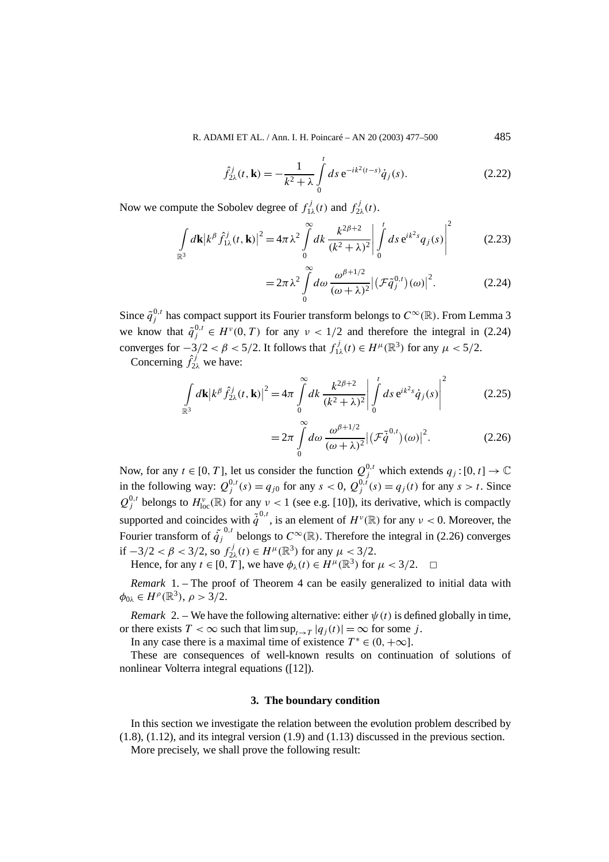$$
\hat{f}_{2\lambda}^j(t, \mathbf{k}) = -\frac{1}{k^2 + \lambda} \int_0^t ds \, e^{-ik^2(t-s)} \dot{q}_j(s).
$$
 (2.22)

Now we compute the Sobolev degree of  $f_{1\lambda}^j(t)$  and  $f_{2\lambda}^j(t)$ .

$$
\int_{\mathbb{R}^3} d\mathbf{k} |k^{\beta} \hat{f}_{1\lambda}^j(t, \mathbf{k})|^2 = 4\pi \lambda^2 \int_0^\infty dk \, \frac{k^{2\beta+2}}{(k^2 + \lambda)^2} \bigg| \int_0^t ds \, e^{ik^2 s} q_j(s) \bigg|^2 \tag{2.23}
$$

$$
=2\pi\lambda^2\int\limits_0^\infty d\omega\,\frac{\omega^{\beta+1/2}}{(\omega+\lambda)^2}\big|\big(\mathcal{F}\tilde{q}_j^{0,t}\big)(\omega)\big|^2.\tag{2.24}
$$

Since  $\tilde{q}^{0,t}_j$  has compact support its Fourier transform belongs to  $C^{\infty}(\mathbb{R})$ . From Lemma 3 we know that  $\tilde{q}^{0,t} \in H^{\nu}(0,T)$  for any  $\nu < 1/2$  and therefore the integral in (2.24) converges for  $-3/2 < \beta < 5/2$ . It follows that  $f_{1\lambda}^j(t) \in H^{\mu}(\mathbb{R}^3)$  for any  $\mu < 5/2$ .

Concerning  $\hat{f}_{2\lambda}^j$  we have:

$$
\int_{\mathbb{R}^3} d\mathbf{k} |k^{\beta} \hat{f}_{2\lambda}^j(t, \mathbf{k})|^2 = 4\pi \int_0^{\infty} dk \frac{k^{2\beta+2}}{(k^2 + \lambda)^2} \left| \int_0^t ds \, e^{ik^2 s} \dot{q}_j(s) \right|^2 \tag{2.25}
$$

$$
=2\pi \int_{0}^{\infty} d\omega \frac{\omega^{\beta+1/2}}{(\omega+\lambda)^2} \left| \left( \mathcal{F}\tilde{\dot{q}}^{0,t} \right) (\omega) \right|^2. \tag{2.26}
$$

Now, for any  $t \in [0, T]$ , let us consider the function  $Q_j^{0,t}$  which extends  $q_j : [0, t] \to \mathbb{C}$ in the following way:  $Q_j^{0,t}(s) = q_{j0}$  for any  $s < 0$ ,  $Q_j^{0,t}(s) = q_j(t)$  for any  $s > t$ . Since  $Q_j^{0,t}$  belongs to  $H^{\nu}_{loc}(\mathbb{R})$  for any  $\nu < 1$  (see e.g. [10]), its derivative, which is compactly supported and coincides with  $\tilde{q}^{0,t}$ , is an element of  $H^{\nu}(\mathbb{R})$  for any  $\nu < 0$ . Moreover, the Fourier transform of  $\tilde{q}^{0,t}_j$  belongs to  $C^{\infty}(\mathbb{R})$ . Therefore the integral in (2.26) converges if  $-3/2 < \beta < 3/2$ , so  $f_{2\lambda}^j(t) \in H^{\mu}(\mathbb{R}^3)$  for any  $\mu < 3/2$ .

Hence, for any  $t \in [0, T]$ , we have  $\phi_{\lambda}(t) \in H^{\mu}(\mathbb{R}^{3})$  for  $\mu < 3/2$ .

*Remark* 1. – The proof of Theorem 4 can be easily generalized to initial data with  $\phi_{0\lambda} \in H^{\rho}(\mathbb{R}^3), \rho > 3/2.$ 

*Remark* 2. – We have the following alternative: either  $\psi(t)$  is defined globally in time, or there exists  $T < \infty$  such that  $\limsup_{t \to T} |q_i(t)| = \infty$  for some *j*.

In any case there is a maximal time of existence  $T^* \in (0, +\infty]$ .

These are consequences of well-known results on continuation of solutions of nonlinear Volterra integral equations ([12]).

### **3. The boundary condition**

In this section we investigate the relation between the evolution problem described by (1.8), (1.12), and its integral version (1.9) and (1.13) discussed in the previous section. More precisely, we shall prove the following result: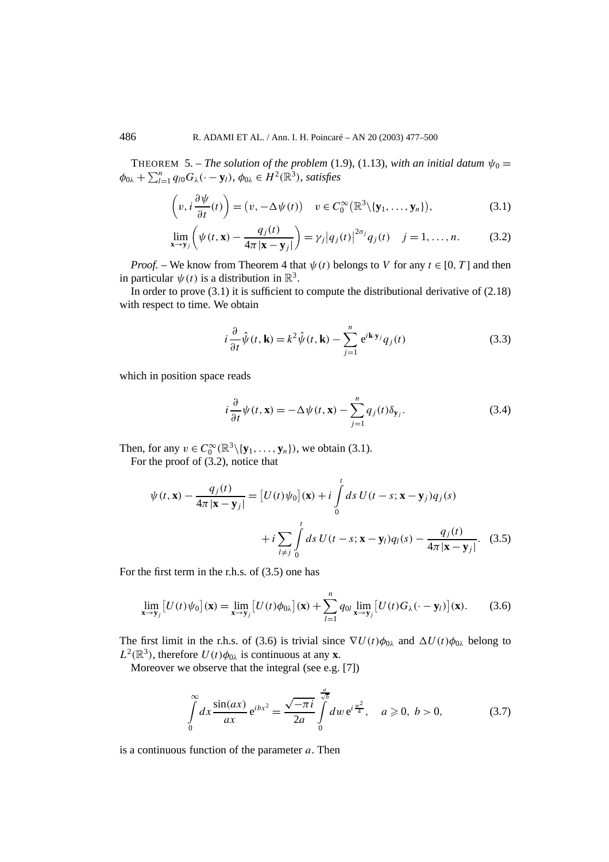THEOREM 5. – *The solution of the problem* (1.9), (1.13)*, with an initial datum*  $\psi_0 =$  $\phi_{0\lambda} + \sum_{l=1}^{n} q_{l0} G_{\lambda}(\cdot - \mathbf{y}_l)$ *,*  $\phi_{0\lambda} \in H^2(\mathbb{R}^3)$ *, satisfies* 

$$
\left(v, i\frac{\partial \psi}{\partial t}(t)\right) = \left(v, -\Delta \psi(t)\right) \quad v \in C_0^{\infty}(\mathbb{R}^3 \setminus \{\mathbf{y}_1, \dots, \mathbf{y}_n\}),\tag{3.1}
$$

$$
\lim_{\mathbf{x}\to\mathbf{y}_j}\left(\psi(t,\mathbf{x})-\frac{q_j(t)}{4\pi|\mathbf{x}-\mathbf{y}_j|}\right)=\gamma_j|q_j(t)|^{2\sigma_j}q_j(t) \quad j=1,\ldots,n. \tag{3.2}
$$

*Proof.* – We know from Theorem 4 that  $\psi(t)$  belongs to *V* for any  $t \in [0, T]$  and then in particular  $\psi(t)$  is a distribution in  $\mathbb{R}^3$ .

In order to prove  $(3.1)$  it is sufficient to compute the distributional derivative of  $(2.18)$ with respect to time. We obtain

$$
i\frac{\partial}{\partial t}\hat{\psi}(t,\mathbf{k}) = k^2 \hat{\psi}(t,\mathbf{k}) - \sum_{j=1}^n e^{i\mathbf{k}\cdot\mathbf{y}_j} q_j(t)
$$
 (3.3)

which in position space reads

$$
i\frac{\partial}{\partial t}\psi(t,\mathbf{x}) = -\Delta\psi(t,\mathbf{x}) - \sum_{j=1}^{n} q_j(t)\delta_{\mathbf{y}_j}.
$$
 (3.4)

Then, for any  $v \in C_0^{\infty}(\mathbb{R}^3 \setminus {\bf \{y_1, \ldots, y_n\}})$ , we obtain (3.1).

For the proof of  $(3.2)$ , notice that

$$
\psi(t, \mathbf{x}) - \frac{q_j(t)}{4\pi |\mathbf{x} - \mathbf{y}_j|} = [U(t)\psi_0](\mathbf{x}) + i \int_0^t ds \ U(t - s; \mathbf{x} - \mathbf{y}_j) q_j(s)
$$

$$
+ i \sum_{l \neq j} \int_0^t ds \ U(t - s; \mathbf{x} - \mathbf{y}_l) q_l(s) - \frac{q_j(t)}{4\pi |\mathbf{x} - \mathbf{y}_j|}. \tag{3.5}
$$

For the first term in the r.h.s. of (3.5) one has

$$
\lim_{\mathbf{x}\to\mathbf{y}_j}\left[U(t)\psi_0\right](\mathbf{x})=\lim_{\mathbf{x}\to\mathbf{y}_j}\left[U(t)\phi_{0\lambda}\right](\mathbf{x})+\sum_{l=1}^n q_{0l}\lim_{\mathbf{x}\to\mathbf{y}_j}\left[U(t)G_\lambda(\cdot-\mathbf{y}_l)\right](\mathbf{x}).\tag{3.6}
$$

The first limit in the r.h.s. of (3.6) is trivial since  $\nabla U(t)\phi_{0\lambda}$  and  $\Delta U(t)\phi_{0\lambda}$  belong to  $L^2(\mathbb{R}^3)$ , therefore  $U(t)\phi_{0\lambda}$  is continuous at any **x**.

Moreover we observe that the integral (see e.g. [7])

$$
\int_{0}^{\infty} dx \frac{\sin(ax)}{ax} e^{ibx^{2}} = \frac{\sqrt{-\pi i}}{2a} \int_{0}^{\frac{a}{\sqrt{b}}} dw e^{i\frac{w^{2}}{4}}, \quad a \ge 0, b > 0,
$$
 (3.7)

is a continuous function of the parameter *a*. Then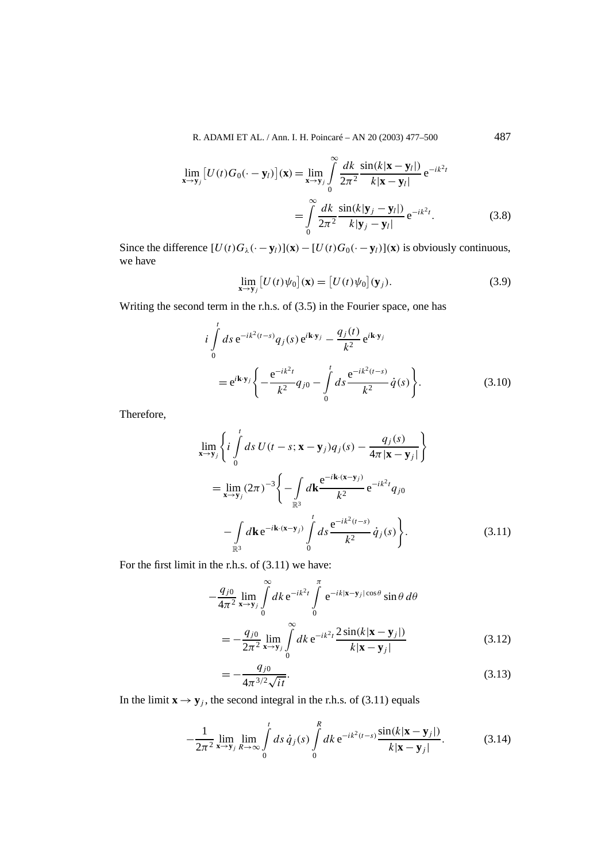$$
\lim_{\mathbf{x}\to\mathbf{y}_j} \left[ U(t)G_0(\cdot - \mathbf{y}_l) \right](\mathbf{x}) = \lim_{\mathbf{x}\to\mathbf{y}_j} \int_0^\infty \frac{dk}{2\pi^2} \frac{\sin(k|\mathbf{x} - \mathbf{y}_l|)}{k|\mathbf{x} - \mathbf{y}_l|} e^{-ik^2t}
$$
\n
$$
= \int_0^\infty \frac{dk}{2\pi^2} \frac{\sin(k|\mathbf{y}_j - \mathbf{y}_l|)}{k|\mathbf{y}_j - \mathbf{y}_l|} e^{-ik^2t}.
$$
\n(3.8)

Since the difference  $[U(t)G_{\lambda}(-\mathbf{y}_l)](\mathbf{x}) - [U(t)G_0(-\mathbf{y}_l)](\mathbf{x})$  is obviously continuous, we have

$$
\lim_{\mathbf{x}\to\mathbf{y}_j} \left[ U(t)\psi_0 \right](\mathbf{x}) = \left[ U(t)\psi_0 \right](\mathbf{y}_j). \tag{3.9}
$$

Writing the second term in the r.h.s. of (3.5) in the Fourier space, one has

$$
i\int_{0}^{t} ds \, e^{-ik^{2}(t-s)} q_{j}(s) \, e^{i\mathbf{k} \cdot \mathbf{y}_{j}} - \frac{q_{j}(t)}{k^{2}} e^{i\mathbf{k} \cdot \mathbf{y}_{j}} \n= e^{i\mathbf{k} \cdot \mathbf{y}_{j}} \left\{ -\frac{e^{-ik^{2}t}}{k^{2}} q_{j0} - \int_{0}^{t} ds \frac{e^{-ik^{2}(t-s)}}{k^{2}} \dot{q}(s) \right\}.
$$
\n(3.10)

Therefore,

$$
\lim_{\mathbf{x}\to\mathbf{y}_{j}}\left\{i\int_{0}^{t}ds\ U(t-s;\mathbf{x}-\mathbf{y}_{j})q_{j}(s)-\frac{q_{j}(s)}{4\pi|\mathbf{x}-\mathbf{y}_{j}|}\right\}
$$
\n
$$
=\lim_{\mathbf{x}\to\mathbf{y}_{j}}(2\pi)^{-3}\left\{-\int_{\mathbb{R}^{3}}d\mathbf{k}\frac{e^{-i\mathbf{k}\cdot(\mathbf{x}-\mathbf{y}_{j})}}{k^{2}}e^{-ik^{2}t}q_{j0}
$$
\n
$$
-\int_{\mathbb{R}^{3}}d\mathbf{k}e^{-i\mathbf{k}\cdot(\mathbf{x}-\mathbf{y}_{j})}\int_{0}^{t}ds\frac{e^{-ik^{2}(t-s)}}{k^{2}}\dot{q}_{j}(s)\right\}.
$$
\n(3.11)

For the first limit in the r.h.s. of (3.11) we have:

$$
-\frac{q_{j0}}{4\pi^2} \lim_{\mathbf{x} \to \mathbf{y}_j} \int_{0}^{\infty} dk \, \mathrm{e}^{-ik^2 t} \int_{0}^{\pi} \mathrm{e}^{-ik|\mathbf{x} - \mathbf{y}_j| \cos \theta} \sin \theta \, d\theta
$$

$$
= -\frac{q_{j0}}{2\pi^2} \lim_{\mathbf{x} \to \mathbf{y}_j} \int_{0}^{\infty} dk \, \mathrm{e}^{-ik^2 t} \frac{2 \sin(k|\mathbf{x} - \mathbf{y}_j|)}{k|\mathbf{x} - \mathbf{y}_j|}
$$
(3.12)

$$
=-\frac{q_{j0}}{4\pi^{3/2}\sqrt{it}}.\tag{3.13}
$$

In the limit  $\mathbf{x} \rightarrow \mathbf{y}_j$ , the second integral in the r.h.s. of (3.11) equals

$$
-\frac{1}{2\pi^2}\lim_{\mathbf{x}\to\mathbf{y}_j}\lim_{R\to\infty}\int\limits_0^t ds\,\dot{q}_j(s)\int\limits_0^R dk\,\mathrm{e}^{-ik^2(t-s)}\frac{\sin(k|\mathbf{x}-\mathbf{y}_j|)}{k|\mathbf{x}-\mathbf{y}_j|}.\tag{3.14}
$$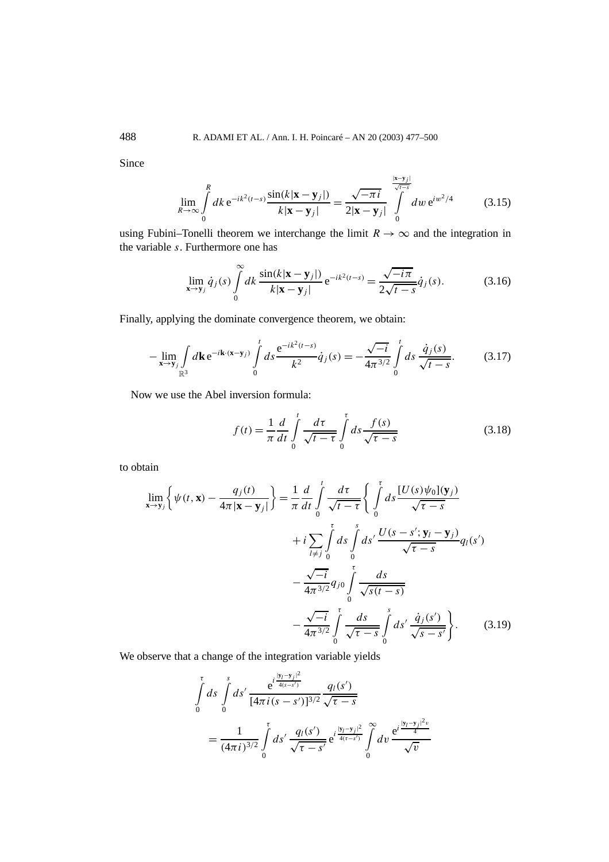Since

$$
\lim_{R \to \infty} \int_{0}^{R} dk \, \mathrm{e}^{-ik^{2}(t-s)} \frac{\sin(k|\mathbf{x} - \mathbf{y}_{j}|)}{k|\mathbf{x} - \mathbf{y}_{j}|} = \frac{\sqrt{-\pi i}}{2|\mathbf{x} - \mathbf{y}_{j}|} \int_{0}^{\frac{|\mathbf{x} - \mathbf{y}_{j}|}{\sqrt{t-s}}} dw \, \mathrm{e}^{iw^{2}/4}
$$
(3.15)

|**x**−**y***j* |

using Fubini–Tonelli theorem we interchange the limit  $R \to \infty$  and the integration in the variable *s*. Furthermore one has

$$
\lim_{\mathbf{x}\to\mathbf{y}_j} \dot{q}_j(s) \int\limits_0^\infty dk \, \frac{\sin(k|\mathbf{x}-\mathbf{y}_j|)}{k|\mathbf{x}-\mathbf{y}_j|} \, \mathrm{e}^{-ik^2(t-s)} = \frac{\sqrt{-i\pi}}{2\sqrt{t-s}} \dot{q}_j(s). \tag{3.16}
$$

Finally, applying the dominate convergence theorem, we obtain:

$$
-\lim_{\mathbf{x}\to\mathbf{y}_j}\int\limits_{\mathbb{R}^3}d\mathbf{k}\,\mathrm{e}^{-i\mathbf{k}\cdot(\mathbf{x}-\mathbf{y}_j)}\int\limits_0^t ds\,\frac{\mathrm{e}^{-ik^2(t-s)}}{k^2}\dot{q}_j(s)=-\frac{\sqrt{-i}}{4\pi^{3/2}}\int\limits_0^t ds\,\frac{\dot{q}_j(s)}{\sqrt{t-s}}.\tag{3.17}
$$

Now we use the Abel inversion formula:

$$
f(t) = \frac{1}{\pi} \frac{d}{dt} \int_{0}^{t} \frac{d\tau}{\sqrt{t - \tau}} \int_{0}^{\tau} ds \frac{f(s)}{\sqrt{\tau - s}}
$$
(3.18)

to obtain

$$
\lim_{\mathbf{x} \to \mathbf{y}_{j}} \left\{ \psi(t, \mathbf{x}) - \frac{q_{j}(t)}{4\pi |\mathbf{x} - \mathbf{y}_{j}|} \right\} = \frac{1}{\pi} \frac{d}{dt} \int_{0}^{t} \frac{d\tau}{\sqrt{t - \tau}} \left\{ \int_{0}^{\tau} ds \frac{[U(s)\psi_{0}](\mathbf{y}_{j})}{\sqrt{\tau - s}} + i \sum_{l \neq j} \int_{0}^{\tau} ds \int_{0}^{s} ds' \frac{U(s - s'; \mathbf{y}_{l} - \mathbf{y}_{j})}{\sqrt{\tau - s}} q_{l}(s') - \frac{\sqrt{-i}}{4\pi^{3/2}} q_{j0} \int_{0}^{\tau} \frac{ds}{\sqrt{s(t - s)}} - \frac{\sqrt{-i}}{4\pi^{3/2}} \int_{0}^{\tau} \frac{ds}{\sqrt{\tau - s}} \int_{0}^{s} ds' \frac{\dot{q}_{j}(s')}{\sqrt{s - s'}} \right\}.
$$
\n(3.19)

We observe that a change of the integration variable yields

$$
\int_{0}^{\tau} ds \int_{0}^{s} ds' \frac{e^{i \frac{|\mathbf{y}_{l} - \mathbf{y}_{j}|^{2}}{4(s - s')}}}{[4\pi i (s - s')]^{3/2}} \frac{q_{l}(s')}{\sqrt{\tau - s}}
$$
\n
$$
= \frac{1}{(4\pi i)^{3/2}} \int_{0}^{\tau} ds' \frac{q_{l}(s')}{\sqrt{\tau - s'}} e^{i \frac{|\mathbf{y}_{l} - \mathbf{y}_{j}|^{2}}{4(\tau - s')}} \int_{0}^{\infty} dv \frac{e^{i \frac{|\mathbf{y}_{l} - \mathbf{y}_{j}|^{2}v}{4}}}{\sqrt{v}}
$$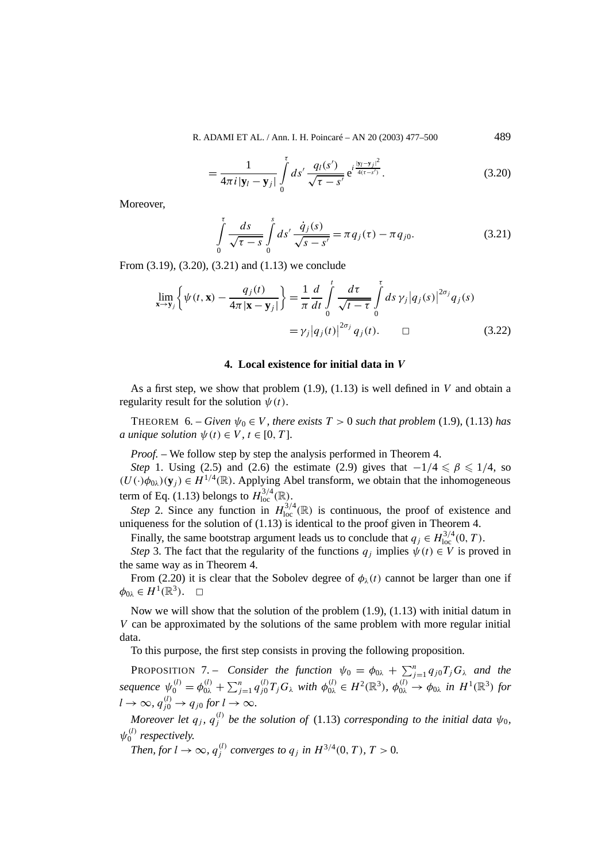$$
= \frac{1}{4\pi i |y_l - y_j|} \int\limits_0^{\tau} ds' \frac{q_l(s')}{\sqrt{\tau - s'}} e^{i \frac{|y_l - y_j|^2}{4(\tau - s')}}.
$$
 (3.20)

Moreover,

$$
\int_{0}^{\tau} \frac{ds}{\sqrt{\tau - s}} \int_{0}^{s} ds' \frac{\dot{q}_{j}(s)}{\sqrt{s - s'}} = \pi q_{j}(\tau) - \pi q_{j0}.
$$
 (3.21)

From (3.19), (3.20), (3.21) and (1.13) we conclude

$$
\lim_{\mathbf{x}\to\mathbf{y}_j}\left\{\psi(t,\mathbf{x})-\frac{q_j(t)}{4\pi|\mathbf{x}-\mathbf{y}_j|}\right\}=\frac{1}{\pi}\frac{d}{dt}\int_{0}^{t}\frac{d\tau}{\sqrt{t-\tau}}\int_{0}^{\tau}ds\,\gamma_j|q_j(s)|^{2\sigma_j}q_j(s)
$$
\n
$$
=\gamma_j|q_j(t)|^{2\sigma_j}q_j(t). \qquad \Box \qquad (3.22)
$$

#### **4. Local existence for initial data in** *V*

As a first step, we show that problem (1.9), (1.13) is well defined in *V* and obtain a regularity result for the solution  $\psi(t)$ .

THEOREM 6. – *Given*  $\psi_0 \in V$ , there exists  $T > 0$  such that problem (1.9), (1.13) has *a* unique solution  $\psi(t) \in V$ ,  $t \in [0, T]$ .

*Proof.* – We follow step by step the analysis performed in Theorem 4.

*Step* 1. Using (2.5) and (2.6) the estimate (2.9) gives that  $-1/4 \le \beta \le 1/4$ , so  $(U(\cdot)\phi_{0\lambda})(y_i) \in H^{1/4}(\mathbb{R})$ . Applying Abel transform, we obtain that the inhomogeneous term of Eq. (1.13) belongs to  $H^{3/4}_{loc}(\mathbb{R})$ .

*Step* 2. Since any function in  $H_{\text{loc}}^{3/4}(\mathbb{R})$  is continuous, the proof of existence and uniqueness for the solution of (1.13) is identical to the proof given in Theorem 4.

Finally, the same bootstrap argument leads us to conclude that  $q_j \in H_{\text{loc}}^{3/4}(0, T)$ .

*Step* 3. The fact that the regularity of the functions  $q_i$  implies  $\psi(t) \in V$  is proved in the same way as in Theorem 4.

From (2.20) it is clear that the Sobolev degree of  $\phi_{\lambda}(t)$  cannot be larger than one if  $\phi_{0\lambda} \in H^1(\mathbb{R}^3)$ .  $\Box$ 

Now we will show that the solution of the problem  $(1.9)$ ,  $(1.13)$  with initial datum in *V* can be approximated by the solutions of the same problem with more regular initial data.

To this purpose, the first step consists in proving the following proposition.

**PROPOSITION** 7. – *Consider the function*  $\psi_0 = \phi_{0\lambda} + \sum_{j=1}^n q_{j0} T_j G_{\lambda}$  *and the* sequence  $\psi_0^{(l)} = \phi_{0\lambda}^{(l)} + \sum_{j=1}^n q_{j0}^{(l)} T_j G_{\lambda}$  with  $\phi_{0\lambda}^{(l)} \in H^2(\mathbb{R}^3)$ ,  $\phi_{0\lambda}^{(l)} \to \phi_{0\lambda}$  in  $H^1(\mathbb{R}^3)$  for  $l \to \infty$ ,  $q_{j0}^{(l)} \to q_{j0}$  for  $l \to \infty$ .

*Moreover let*  $q_j$ *,*  $q_j^{(l)}$  be the solution of (1.13) corresponding to the initial data  $\psi_0$ *,*  $\psi_0^{(l)}$  *respectively.* 

*Then, for*  $l \to \infty$ *,*  $q_j^{(l)}$  *converges to*  $q_j$  *in*  $H^{3/4}(0, T)$ *,*  $T > 0$ *.*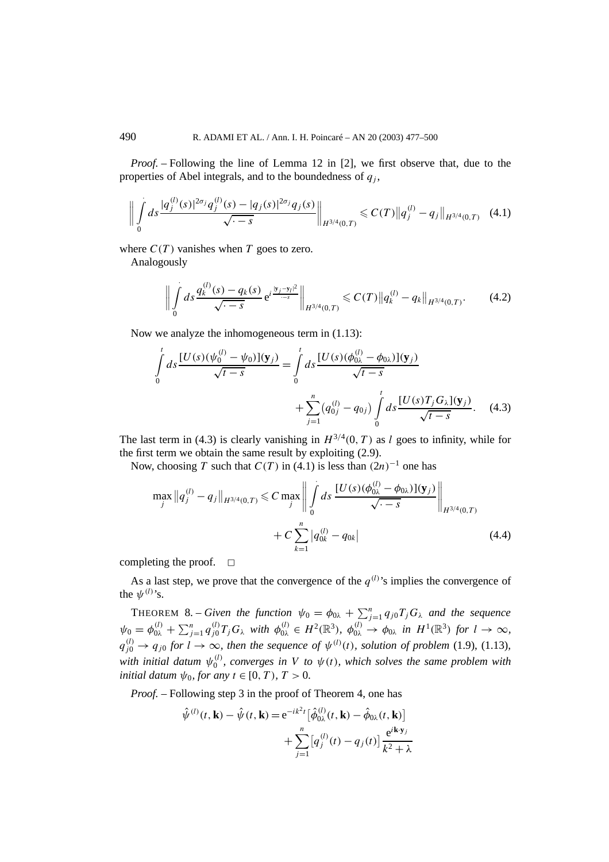*Proof. –* Following the line of Lemma 12 in [2], we first observe that, due to the properties of Abel integrals, and to the boundedness of  $q_i$ ,

$$
\left\| \int\limits_{0}^{1} ds \frac{|q_j^{(l)}(s)|^{2\sigma_j} q_j^{(l)}(s) - |q_j(s)|^{2\sigma_j} q_j(s)}{\sqrt{1-s}} \right\|_{H^{3/4}(0,T)} \leq C(T) \|q_j^{(l)} - q_j\|_{H^{3/4}(0,T)} \quad (4.1)
$$

where  $C(T)$  vanishes when *T* goes to zero.

Analogously

$$
\left\| \int\limits_{0}^{1} ds \frac{q_k^{(l)}(s) - q_k(s)}{\sqrt{1-s}} e^{i \frac{|y_j - y_l|^2}{-s}} \right\|_{H^{3/4}(0,T)} \leqslant C(T) \|q_k^{(l)} - q_k\|_{H^{3/4}(0,T)}.
$$
 (4.2)

Now we analyze the inhomogeneous term in (1.13):

$$
\int_{0}^{t} ds \frac{[U(s)(\psi_{0}^{(l)} - \psi_{0})](\mathbf{y}_{j})}{\sqrt{t - s}} = \int_{0}^{t} ds \frac{[U(s)(\phi_{0\lambda}^{(l)} - \phi_{0\lambda})](\mathbf{y}_{j})}{\sqrt{t - s}} + \sum_{j=1}^{n} (q_{0j}^{(l)} - q_{0j}) \int_{0}^{t} ds \frac{[U(s)T_{j}G_{\lambda}](\mathbf{y}_{j})}{\sqrt{t - s}}.
$$
(4.3)

The last term in (4.3) is clearly vanishing in  $H^{3/4}(0, T)$  as *l* goes to infinity, while for the first term we obtain the same result by exploiting (2.9).

Now, choosing *T* such that  $C(T)$  in (4.1) is less than  $(2n)^{-1}$  one has

$$
\max_{j} \|q_{j}^{(l)} - q_{j}\|_{H^{3/4}(0,T)} \leq C \max_{j} \left\| \int_{0}^{1} ds \frac{[U(s)(\phi_{0\lambda}^{(l)} - \phi_{0\lambda})](\mathbf{y}_{j})}{\sqrt{\cdot - s}} \right\|_{H^{3/4}(0,T)} + C \sum_{k=1}^{n} |q_{0k}^{(l)} - q_{0k}|
$$
\n(4.4)

completing the proof.  $\Box$ 

As a last step, we prove that the convergence of the  $q^{(l)}$ 's implies the convergence of the  $\psi^{(l)}$ 's.

**THEOREM 8.** – *Given the function*  $\psi_0 = \phi_{0\lambda} + \sum_{j=1}^n q_{j0} T_j G_{\lambda}$  *and the sequence*  $\psi_0 = \phi_{0\lambda}^{(l)} + \sum_{j=1}^n q_{j0}^{(l)} T_j G_\lambda$  with  $\phi_{0\lambda}^{(l)} \in H^2(\mathbb{R}^3)$ ,  $\phi_{0\lambda}^{(l)} \to \phi_{0\lambda}$  in  $H^1(\mathbb{R}^3)$  for  $l \to \infty$ ,  $q_{j0}^{(l)} \rightarrow q_{j0}$  for  $l \rightarrow \infty$ , then the sequence of  $\psi^{(l)}(t)$ , solution of problem (1.9), (1.13)*, with initial datum*  $\psi_0^{(l)}$ , converges in V to  $\psi(t)$ , which solves the same problem with *initial datum*  $\psi_0$ *, for any*  $t \in [0, T)$ *,*  $T > 0$ *.* 

*Proof.* – Following step 3 in the proof of Theorem 4, one has

$$
\hat{\psi}^{(l)}(t, \mathbf{k}) - \hat{\psi}(t, \mathbf{k}) = e^{-ik^2t} [\hat{\phi}_{0\lambda}^{(l)}(t, \mathbf{k}) - \hat{\phi}_{0\lambda}(t, \mathbf{k})] \n+ \sum_{j=1}^n [q_j^{(l)}(t) - q_j(t)] \frac{e^{i\mathbf{k} \cdot \mathbf{y}_j}}{k^2 + \lambda}
$$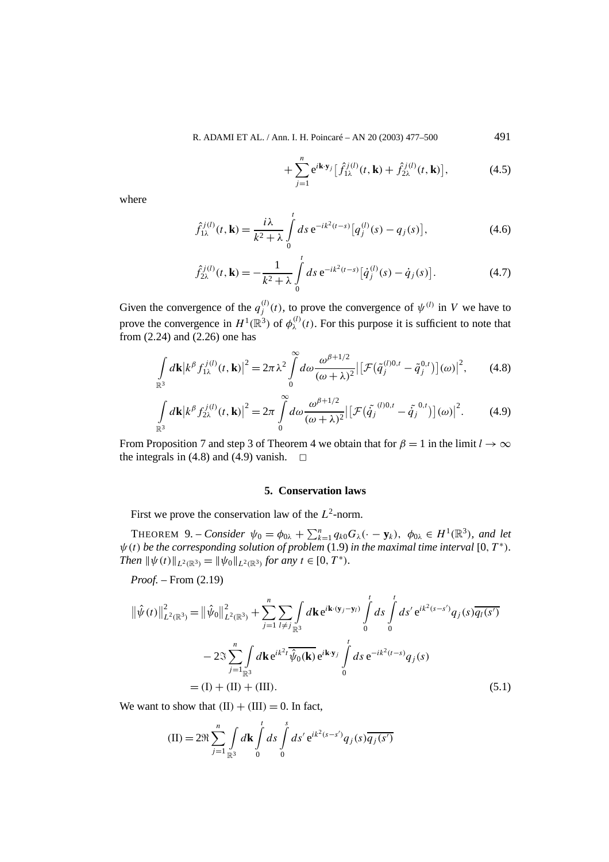$$
+\sum_{j=1}^{n} e^{i\mathbf{k}\cdot\mathbf{y}_{j}} \left[\hat{f}_{1\lambda}^{j(l)}(t,\mathbf{k}) + \hat{f}_{2\lambda}^{j(l)}(t,\mathbf{k})\right],
$$
 (4.5)

where

$$
\hat{f}_{1\lambda}^{j(l)}(t,\mathbf{k}) = \frac{i\lambda}{k^2 + \lambda} \int_{0}^{t} ds \, e^{-ik^2(t-s)} \big[ q_j^{(l)}(s) - q_j(s) \big],\tag{4.6}
$$

$$
\hat{f}_{2\lambda}^{j(l)}(t,\mathbf{k}) = -\frac{1}{k^2 + \lambda} \int_{0}^{t} ds \,\mathrm{e}^{-ik^2(t-s)} \big[\dot{q}_j^{(l)}(s) - \dot{q}_j(s)\big].\tag{4.7}
$$

Given the convergence of the  $q_j^{(l)}(t)$ , to prove the convergence of  $\psi^{(l)}$  in *V* we have to prove the convergence in  $H^1(\mathbb{R}^3)$  of  $\phi_\lambda^{(l)}(t)$ . For this purpose it is sufficient to note that from (2.24) and (2.26) one has

$$
\int_{\mathbb{R}^3} d\mathbf{k} |k^{\beta} f_{1\lambda}^{j(l)}(t, \mathbf{k})|^2 = 2\pi \lambda^2 \int_0^{\infty} d\omega \frac{\omega^{\beta+1/2}}{(\omega+\lambda)^2} \left[ \mathcal{F}(\tilde{q}_j^{(l)0,t} - \tilde{q}_j^{0,t}) \right](\omega) \right]^2, \qquad (4.8)
$$

$$
\int_{\mathbb{R}^3} d\mathbf{k} |k^{\beta} f_{2\lambda}^{j(l)}(t, \mathbf{k})|^2 = 2\pi \int_0^{\infty} d\omega \frac{\omega^{\beta+1/2}}{(\omega+\lambda)^2} \left[ \left[ \mathcal{F}(\tilde{q}_j^{(l)0,t} - \tilde{q}_j^{(0,t)}) \right](\omega) \right]^2.
$$
 (4.9)

From Proposition 7 and step 3 of Theorem 4 we obtain that for  $\beta = 1$  in the limit  $l \to \infty$ the integrals in (4.8) and (4.9) vanish.  $\Box$ 

## **5. Conservation laws**

First we prove the conservation law of the *L*2-norm.

**THEOREM** 9. – *Consider*  $\psi_0 = \phi_{0\lambda} + \sum_{k=1}^n q_{k0} G_{\lambda}(\cdot - \mathbf{y}_k)$ ,  $\phi_{0\lambda} \in H^1(\mathbb{R}^3)$ , and let  $\psi(t)$  *be the corresponding solution of problem* (1.9) *in the maximal time interval* [0,  $T^*$ )*. Then*  $\|\psi(t)\|_{L^2(\mathbb{R}^3)} = \|\psi_0\|_{L^2(\mathbb{R}^3)}$  *for any*  $t \in [0, T^*)$ *.* 

*Proof. –* From (2.19)

$$
\|\hat{\psi}(t)\|_{L^{2}(\mathbb{R}^{3})}^{2} = \|\hat{\psi}_{0}\|_{L^{2}(\mathbb{R}^{3})}^{2} + \sum_{j=1}^{n} \sum_{l \neq j} \int_{\mathbb{R}^{3}} d\mathbf{k} e^{i\mathbf{k} \cdot (\mathbf{y}_{j} - \mathbf{y}_{l})} \int_{0}^{t} ds \int_{0}^{t} ds' e^{i k^{2} (s - s')} q_{j}(s) \overline{q_{l}(s')}
$$
  

$$
- 2\Im \sum_{j=1}^{n} \int_{\mathbb{R}^{3}} d\mathbf{k} e^{i k^{2} t} \overline{\hat{\psi}_{0}(\mathbf{k})} e^{i\mathbf{k} \cdot \mathbf{y}_{j}} \int_{0}^{t} ds e^{-i k^{2} (t - s)} q_{j}(s)
$$
  

$$
= (I) + (II) + (III). \tag{5.1}
$$

We want to show that  $(II) + (III) = 0$ . In fact,

$$
\text{(II)} = 2\Re \sum_{j=1}^{n} \int_{\mathbb{R}^3} d\mathbf{k} \int_{0}^{t} ds \int_{0}^{s} ds' e^{ik^2(s-s')} q_j(s) \overline{q_j(s')}
$$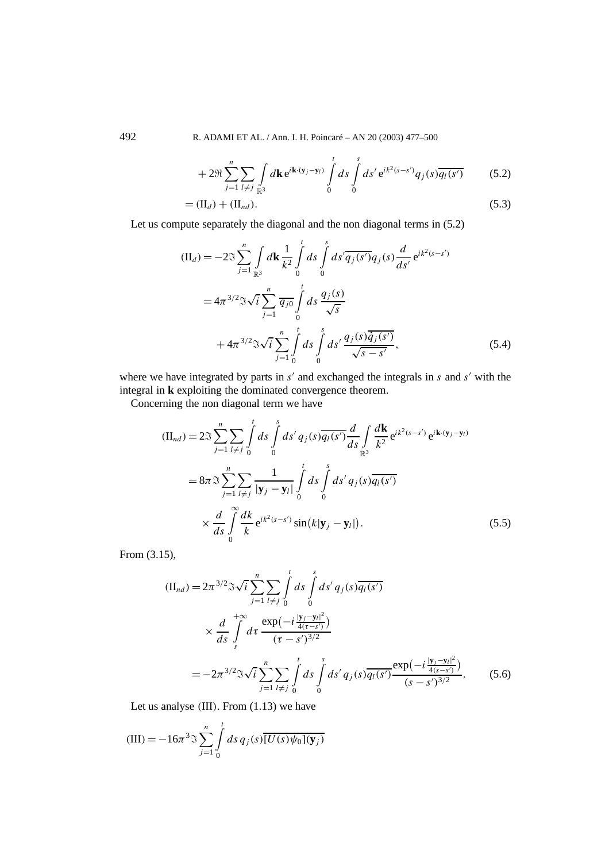+ 
$$
2\Re \sum_{j=1}^{n} \sum_{l \neq j} \int_{\mathbb{R}^3} d\mathbf{k} e^{i\mathbf{k} \cdot (\mathbf{y}_j - \mathbf{y}_l)} \int_{0}^{t} ds \int_{0}^{s} ds' e^{i k^2 (s - s')} q_j(s) \overline{q_l(s')}
$$
 (5.2)  
=  $(\Pi_d) + (\Pi_{nd})$ .

Let us compute separately the diagonal and the non diagonal terms in (5.2)

$$
\begin{split} \n(\mathbf{II}_d) &= -2\Im \sum_{j=1}^n \int_{\mathbb{R}^3} d\mathbf{k} \frac{1}{k^2} \int_0^t ds \int_0^s ds' \overline{q_j(s')} q_j(s) \frac{d}{ds'} e^{ik^2(s-s')} \\ \n&= 4\pi^{3/2} \Im \sqrt{i} \sum_{j=1}^n \overline{q_{j0}} \int_0^t ds \frac{q_j(s)}{\sqrt{s}} \\ \n&+ 4\pi^{3/2} \Im \sqrt{i} \sum_{j=1}^n \int_0^t ds \int_0^s ds' \frac{q_j(s) \overline{\dot{q}_j(s')}}{\sqrt{s-s'}}, \n\end{split} \tag{5.4}
$$

where we have integrated by parts in  $s'$  and exchanged the integrals in  $s$  and  $s'$  with the integral in **k** exploiting the dominated convergence theorem.

Concerning the non diagonal term we have

$$
\begin{split} (\Pi_{nd}) &= 2\Im\sum_{j=1}^{n} \sum_{l\neq j} \int_{0}^{t} ds \int_{0}^{s} ds' \, q_{j}(s) \overline{q_{l}(s')} \frac{d}{ds} \int_{\mathbb{R}^{3}} \frac{d\mathbf{k}}{k^{2}} \, e^{ik^{2}(s-s')} \, e^{i\mathbf{k}\cdot(\mathbf{y}_{j}-\mathbf{y}_{l})} \\ &= 8\pi\Im\sum_{j=1}^{n} \sum_{l\neq j} \frac{1}{|\mathbf{y}_{j}-\mathbf{y}_{l}|} \int_{0}^{t} ds \int_{0}^{s} ds' \, q_{j}(s) \overline{q_{l}(s')} \\ &\times \frac{d}{ds} \int_{0}^{\infty} \frac{dk}{k} \, e^{ik^{2}(s-s')} \sin(k|\mathbf{y}_{j}-\mathbf{y}_{l}|). \end{split} \tag{5.5}
$$

From (3.15),

$$
\begin{split} (\Pi_{nd}) &= 2\pi^{3/2} \Im \sqrt{i} \sum_{j=1}^{n} \sum_{l \neq j} \int_{0}^{t} ds \int_{0}^{s} ds' \, q_{j}(s) \overline{q_{l}(s')} \\ &\times \frac{d}{ds} \int_{s}^{+\infty} d\tau \, \frac{\exp\left(-i\frac{|\mathbf{y}_{j} - \mathbf{y}_{l}|^{2}}{4(\tau - s')}\right)}{(\tau - s')^{3/2}} \\ &= -2\pi^{3/2} \Im \sqrt{i} \sum_{j=1}^{n} \sum_{l \neq j} \int_{0}^{t} ds \int_{0}^{s} ds' \, q_{j}(s) \overline{q_{l}(s')} \frac{\exp\left(-i\frac{|\mathbf{y}_{j} - \mathbf{y}_{l}|^{2}}{4(s - s')}\right)}{(s - s')^{3/2}}. \end{split} \tag{5.6}
$$

Let us analyse *(*III*)*. From (1.13) we have

$$
(III) = -16\pi^{3} \Im \sum_{j=1}^{n} \int_{0}^{t} ds \, q_{j}(s) \overline{[U(s)\psi_{0}](\mathbf{y}_{j})}
$$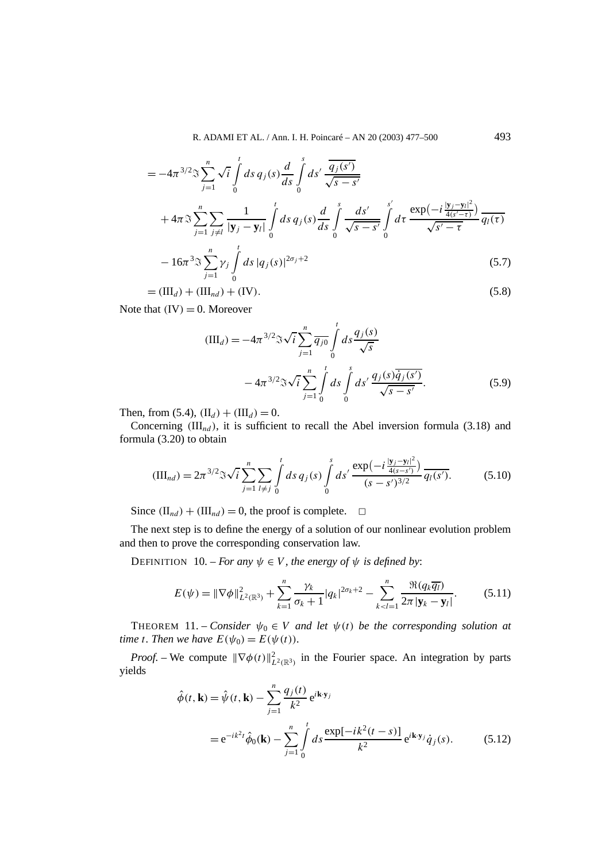$$
= -4\pi^{3/2} \Im \sum_{j=1}^{n} \sqrt{i} \int_{0}^{t} ds \, q_{j}(s) \frac{d}{ds} \int_{0}^{s} ds' \frac{\overline{q_{j}(s')}}{\sqrt{s-s'}} + 4\pi \Im \sum_{j=1}^{n} \sum_{j \neq l} \frac{1}{|\mathbf{y}_{j} - \mathbf{y}_{l}|} \int_{0}^{t} ds \, q_{j}(s) \frac{d}{ds} \int_{0}^{s} \frac{ds'}{\sqrt{s-s'}} \int_{0}^{s'} dt \, \frac{\exp(-i\frac{|\mathbf{y}_{j} - \mathbf{y}_{l}|^{2}}{4(s'-\tau)})}{\sqrt{s'-\tau}} \frac{q_{l}(\tau)}{q_{l}(\tau)}
$$

$$
-16\pi^{3} \Im \sum_{j=1}^{n} \gamma_{j} \int_{0}^{t} ds \, |q_{j}(s)|^{2\sigma_{j}+2}
$$
(5.7)  

$$
= (\mathbf{H}_{1}) + (\mathbf{H}_{2}) + (\mathbf{W}_{1})
$$

 $= (\text{III}_d) + (\text{III}_{nd}) + (\text{IV}).$  (5.8)

Note that  $(IV) = 0$ . Moreover

$$
(IIId) = -4\pi^{3/2} \Im \sqrt{i} \sum_{j=1}^{n} \overline{q_{j0}} \int_{0}^{t} ds \frac{q_{j}(s)}{\sqrt{s}}
$$

$$
-4\pi^{3/2} \Im \sqrt{i} \sum_{j=1}^{n} \int_{0}^{t} ds \int_{0}^{s} ds' \frac{q_{j}(s) \overline{q_{j}(s')}}{\sqrt{s-s'}}.
$$
(5.9)

Then, from (5.4),  $(II_d) + (III_d) = 0$ .

Concerning  $(III_{nd})$ , it is sufficient to recall the Abel inversion formula (3.18) and formula (3.20) to obtain

$$
(\text{III}_{nd}) = 2\pi^{3/2} \Im \sqrt{i} \sum_{j=1}^{n} \sum_{l \neq j} \int_{0}^{t} ds \, q_{j}(s) \int_{0}^{s} ds' \, \frac{\exp(-i\frac{|y_{j} - y_{l}|^{2}}{4(s - s')})}{(s - s')^{3/2}} \, \overline{q_{l}(s')}.\tag{5.10}
$$

Since  $(\Pi_{nd}) + (\Pi_{nd}) = 0$ , the proof is complete.  $\Box$ 

The next step is to define the energy of a solution of our nonlinear evolution problem and then to prove the corresponding conservation law.

**DEFINITION** 10. – *For any*  $\psi \in V$ *, the energy of*  $\psi$  *is defined by:* 

$$
E(\psi) = \|\nabla \phi\|_{L^2(\mathbb{R}^3)}^2 + \sum_{k=1}^n \frac{\gamma_k}{\sigma_k + 1} |q_k|^{2\sigma_k + 2} - \sum_{k < l=1}^n \frac{\Re(q_k \overline{q_l})}{2\pi |\mathbf{y}_k - \mathbf{y}_l|}. \tag{5.11}
$$

THEOREM 11. – *Consider*  $\psi_0 \in V$  *and let*  $\psi(t)$  *be the corresponding solution at time t. Then we have*  $E(\psi_0) = E(\psi(t))$ *.* 

*Proof.* – We compute  $\|\nabla \phi(t)\|_{L^2(\mathbb{R}^3)}^2$  in the Fourier space. An integration by parts yields

$$
\hat{\phi}(t, \mathbf{k}) = \hat{\psi}(t, \mathbf{k}) - \sum_{j=1}^{n} \frac{q_j(t)}{k^2} e^{i\mathbf{k} \cdot \mathbf{y}_j}
$$
  
=  $e^{-ik^2t} \hat{\phi}_0(\mathbf{k}) - \sum_{j=1}^{n} \int_0^t ds \frac{\exp[-ik^2(t-s)]}{k^2} e^{i\mathbf{k} \cdot \mathbf{y}_j} \dot{q}_j(s).$  (5.12)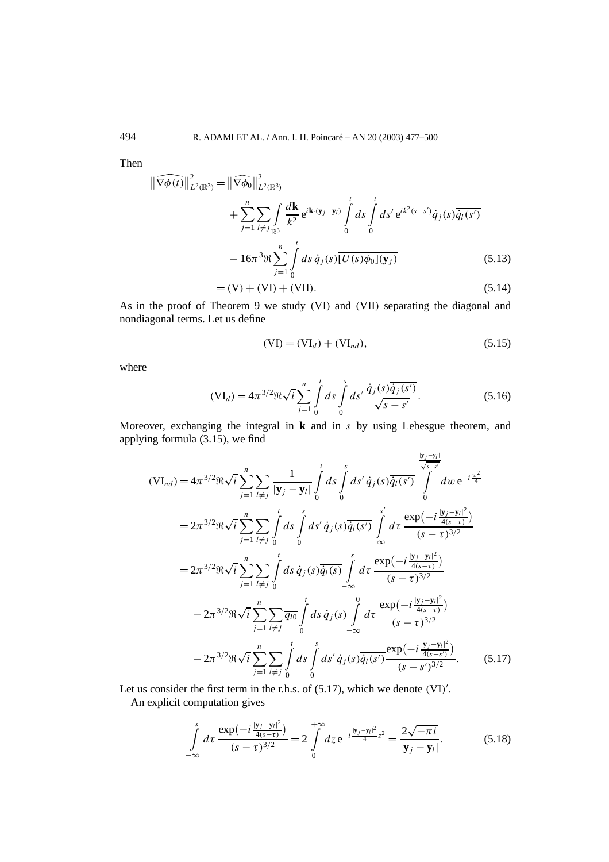Then

$$
\|\widehat{\nabla \phi(t)}\|_{L^{2}(\mathbb{R}^{3})}^{2} = \|\widehat{\nabla \phi_{0}}\|_{L^{2}(\mathbb{R}^{3})}^{2}
$$
  
+ 
$$
\sum_{j=1}^{n} \sum_{l \neq j} \int_{\mathbb{R}^{3}} \frac{d\mathbf{k}}{k^{2}} e^{i\mathbf{k} \cdot (\mathbf{y}_{j} - \mathbf{y}_{l})} \int_{0}^{t} ds \int_{0}^{t} ds' e^{i k^{2} (s - s')} \dot{q}_{j}(s) \overline{\dot{q}_{l}(s')}
$$
  
- 
$$
16\pi^{3} \Re \sum_{j=1}^{n} \int_{0}^{t} ds \dot{q}_{j}(s) \overline{[U(s)\phi_{0}](\mathbf{y}_{j})}
$$
(5.13)  
= (V) + (VI) + (VII).

As in the proof of Theorem 9 we study *(*VI*)* and *(*VII*)* separating the diagonal and nondiagonal terms. Let us define

$$
(VI) = (VI_d) + (VI_{nd}), \t(5.15)
$$

where

$$
(\mathbf{VI}_d) = 4\pi^{3/2} \Re \sqrt{i} \sum_{j=1}^n \int_0^t ds \int_0^s ds' \frac{\dot{q}_j(s) \overline{\dot{q}_j(s')}}{\sqrt{s - s'}}.
$$
(5.16)

Moreover, exchanging the integral in **k** and in *s* by using Lebesgue theorem, and applying formula  $(3.15)$ , we find

$$
(\mathbf{VI}_{nd}) = 4\pi^{3/2} \Re \sqrt{i} \sum_{j=1}^{n} \sum_{l \neq j} \frac{1}{|\mathbf{y}_{j} - \mathbf{y}_{l}|} \int_{0}^{t} ds \int_{0}^{s} ds' \dot{q}_{j}(s) \overline{\dot{q}_{l}(s')} \int_{0}^{\frac{|\mathbf{y}_{j} - \mathbf{y}_{l}|}{\sqrt{s-s'}}} dw e^{-i \frac{w^{2}}{4}}
$$
  
\n
$$
= 2\pi^{3/2} \Re \sqrt{i} \sum_{j=1}^{n} \sum_{l \neq j} \int_{0}^{t} ds \int_{0}^{s} ds' \dot{q}_{j}(s) \overline{\dot{q}_{l}(s')} \int_{-\infty}^{s'} d\tau \frac{\exp(-i \frac{|\mathbf{y}_{j} - \mathbf{y}_{l}|^{2}}{4(s-\tau)})}{(s-\tau)^{3/2}}
$$
  
\n
$$
= 2\pi^{3/2} \Re \sqrt{i} \sum_{j=1}^{n} \sum_{l \neq j} \int_{0}^{t} ds \dot{q}_{j}(s) \overline{\dot{q}_{l}(s)} \int_{-\infty}^{s} d\tau \frac{\exp(-i \frac{|\mathbf{y}_{j} - \mathbf{y}_{l}|^{2}}{4(s-\tau)})}{(s-\tau)^{3/2}}
$$
  
\n
$$
- 2\pi^{3/2} \Re \sqrt{i} \sum_{j=1}^{n} \sum_{l \neq j} \overline{q_{l0}} \int_{0}^{t} ds \dot{q}_{j}(s) \int_{-\infty}^{0} d\tau \frac{\exp(-i \frac{|\mathbf{y}_{j} - \mathbf{y}_{l}|^{2}}{4(s-\tau)})}{(s-\tau)^{3/2}}
$$
  
\n
$$
- 2\pi^{3/2} \Re \sqrt{i} \sum_{j=1}^{n} \sum_{l \neq j} \int_{0}^{t} ds \int_{0}^{s} ds' \dot{q}_{j}(s) \overline{\dot{q}_{l}(s')} \frac{\exp(-i \frac{|\mathbf{y}_{j} - \mathbf{y}_{l}|^{2}}{4(s-\tau)})}{(s-\tau)^{3/2}}.
$$
(5.17)

Let us consider the first term in the r.h.s. of (5.17), which we denote *(*VI*)* .

An explicit computation gives

$$
\int_{-\infty}^{s} d\tau \, \frac{\exp\left(-i\frac{|\mathbf{y}_{j}-\mathbf{y}_{l}|^{2}}{4(s-\tau)}\right)}{(s-\tau)^{3/2}} = 2 \int_{0}^{+\infty} dz \, e^{-i\frac{|\mathbf{y}_{j}-\mathbf{y}_{l}|^{2}}{4}z^{2}} = \frac{2\sqrt{-\pi i}}{|\mathbf{y}_{j}-\mathbf{y}_{l}|}. \tag{5.18}
$$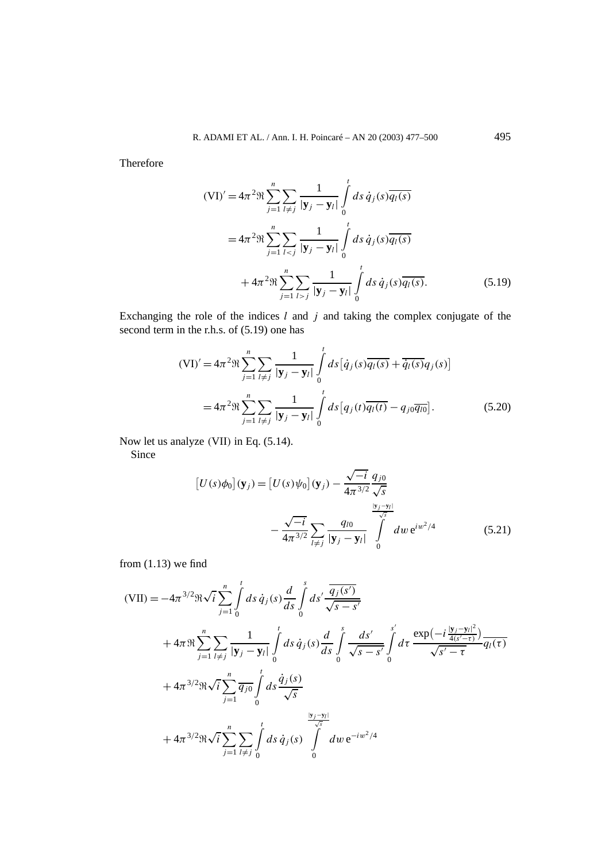Therefore

$$
(\text{VI})' = 4\pi^2 \Re \sum_{j=1}^n \sum_{l \neq j} \frac{1}{|\mathbf{y}_j - \mathbf{y}_l|} \int_0^t ds \, \dot{q}_j(s) \overline{q_l(s)}
$$
  

$$
= 4\pi^2 \Re \sum_{j=1}^n \sum_{l < j} \frac{1}{|\mathbf{y}_j - \mathbf{y}_l|} \int_0^t ds \, \dot{q}_j(s) \overline{q_l(s)}
$$
  

$$
+ 4\pi^2 \Re \sum_{j=1}^n \sum_{l > j} \frac{1}{|\mathbf{y}_j - \mathbf{y}_l|} \int_0^t ds \, \dot{q}_j(s) \overline{q_l(s)}.
$$
(5.19)

Exchanging the role of the indices *l* and *j* and taking the complex conjugate of the second term in the r.h.s. of  $(5.19)$  one has

$$
(\text{VI})' = 4\pi^2 \Re \sum_{j=1}^n \sum_{l \neq j} \frac{1}{|\mathbf{y}_j - \mathbf{y}_l|} \int_0^t ds \left[ \dot{q}_j(s) \overline{q_l(s)} + \overline{\dot{q}_l(s)} q_j(s) \right]
$$
  
=  $4\pi^2 \Re \sum_{j=1}^n \sum_{l \neq j} \frac{1}{|\mathbf{y}_j - \mathbf{y}_l|} \int_0^t ds \left[ q_j(t) \overline{q_l(t)} - q_{j0} \overline{q_{l0}} \right].$  (5.20)

Now let us analyze *(*VII*)* in Eq. (5.14).

Since

$$
\begin{aligned} \left[U(s)\phi_0\right](\mathbf{y}_j) &= \left[U(s)\psi_0\right](\mathbf{y}_j) - \frac{\sqrt{-i}}{4\pi^{3/2}} \frac{q_{j0}}{\sqrt{s}} \\ &- \frac{\sqrt{-i}}{4\pi^{3/2}} \sum_{l \neq j} \frac{q_{l0}}{|\mathbf{y}_j - \mathbf{y}_l|} \int_0^{\frac{|\mathbf{y}_j - \mathbf{y}_l|}{\sqrt{s}}} dw \, \mathrm{e}^{iw^2/4} \end{aligned} \tag{5.21}
$$

from  $(1.13)$  we find

$$
\begin{split}\n\text{(VII)} &= -4\pi^{3/2} \Re \sqrt{i} \sum_{j=1}^{n} \int_{0}^{t} ds \, \dot{q}_{j}(s) \frac{d}{ds} \int_{0}^{s} ds' \frac{\overline{q}_{j}(s')}{\sqrt{s-s'}} \\
&+ 4\pi \Re \sum_{j=1}^{n} \sum_{l \neq j} \frac{1}{|\mathbf{y}_{j} - \mathbf{y}_{l}|} \int_{0}^{t} ds \, \dot{q}_{j}(s) \frac{d}{ds} \int_{0}^{s} \frac{ds'}{\sqrt{s-s'}} \int_{0}^{s'} d\tau \, \frac{\exp(-i\frac{|\mathbf{y}_{j} - \mathbf{y}_{l}|^{2}}{4(s'-\tau)})}{\sqrt{s'-\tau}} \overline{q_{l}(\tau)} \\
&+ 4\pi^{3/2} \Re \sqrt{i} \sum_{j=1}^{n} \overline{q_{j0}} \int_{0}^{t} ds \, \dot{\frac{q}_{j}(s)}{\sqrt{s}} \\
&+ 4\pi^{3/2} \Re \sqrt{i} \sum_{j=1}^{n} \sum_{l \neq j} \int_{0}^{t} ds \, \dot{q}_{j}(s) \int_{0}^{\frac{|\mathbf{y}_{j} - \mathbf{y}_{l}|}{\sqrt{s}}} dw \, e^{-iw^{2}/4}\n\end{split}
$$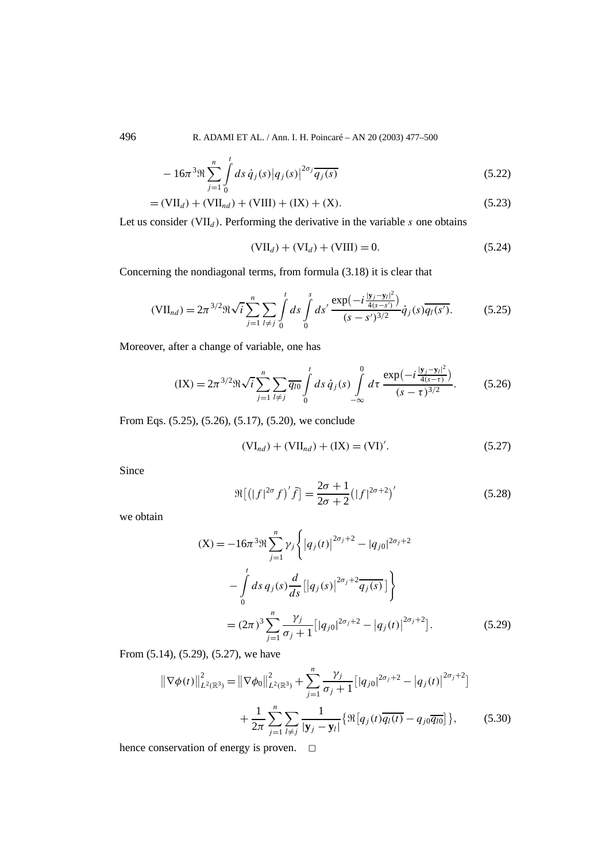$$
-16\pi^3 \Re \sum_{j=1}^n \int_0^t ds \, \dot{q}_j(s) |q_j(s)|^{2\sigma_j} \overline{q_j(s)}
$$
(5.22)

$$
= (VIId) + (VIInd) + (VIII) + (IX) + (X).
$$
 (5.23)

Let us consider  $(VII_d)$ . Performing the derivative in the variable *s* one obtains

$$
(VIId) + (VId) + (VIII) = 0.
$$
 (5.24)

Concerning the nondiagonal terms, from formula (3.18) it is clear that

$$
(\text{VII}_{nd}) = 2\pi^{3/2} \Re \sqrt{i} \sum_{j=1}^{n} \sum_{l \neq j} \int_{0}^{t} ds \int_{0}^{s} ds' \frac{\exp(-i\frac{|\mathbf{y}_{j} - \mathbf{y}_{l}|^{2}}{4(s - s')})}{(s - s')^{3/2}} \dot{q}_{j}(s) \overline{q_{l}(s')}.
$$
(5.25)

Moreover, after a change of variable, one has

$$
(IX) = 2\pi^{3/2} \Re \sqrt{i} \sum_{j=1}^{n} \sum_{l \neq j} \overline{q_{l0}} \int_{0}^{t} ds \, \dot{q}_{j}(s) \int_{-\infty}^{0} d\tau \, \frac{\exp(-i\frac{|y_{j}-y_{l}|^{2}}{4(s-\tau)})}{(s-\tau)^{3/2}}.
$$
 (5.26)

From Eqs. (5.25), (5.26), (5.17), (5.20), we conclude

$$
(VI_{nd}) + (VII_{nd}) + (IX) = (VI)'. \tag{5.27}
$$

Since

$$
\Re\left[ (|f|^{2\sigma} f)' \bar{f} \right] = \frac{2\sigma + 1}{2\sigma + 2} (|f|^{2\sigma + 2})'
$$
\n(5.28)

we obtain

$$
(X) = -16\pi^{3}\Re \sum_{j=1}^{n} \gamma_{j} \left\{ |q_{j}(t)|^{2\sigma_{j}+2} - |q_{j0}|^{2\sigma_{j}+2} - \int_{0}^{t} ds \, q_{j}(s) \frac{d}{ds} [|q_{j}(s)|^{2\sigma_{j}+2} \overline{q_{j}(s)}] \right\}
$$

$$
= (2\pi)^{3} \sum_{j=1}^{n} \frac{\gamma_{j}}{\sigma_{j}+1} [|q_{j0}|^{2\sigma_{j}+2} - |q_{j}(t)|^{2\sigma_{j}+2}]. \tag{5.29}
$$

From (5.14), (5.29), (5.27), we have

$$
\|\nabla\phi(t)\|_{L^{2}(\mathbb{R}^{3})}^{2} = \|\nabla\phi_{0}\|_{L^{2}(\mathbb{R}^{3})}^{2} + \sum_{j=1}^{n} \frac{\gamma_{j}}{\sigma_{j} + 1} \left[|q_{j0}|^{2\sigma_{j} + 2} - |q_{j}(t)|^{2\sigma_{j} + 2}\right] + \frac{1}{2\pi} \sum_{j=1}^{n} \sum_{l \neq j} \frac{1}{|\mathbf{y}_{j} - \mathbf{y}_{l}|} \left\{\Re\left[q_{j}(t)\overline{q_{l}(t)} - q_{j0}\overline{q_{l0}}\right]\right\},
$$
(5.30)

hence conservation of energy is proven.  $\square$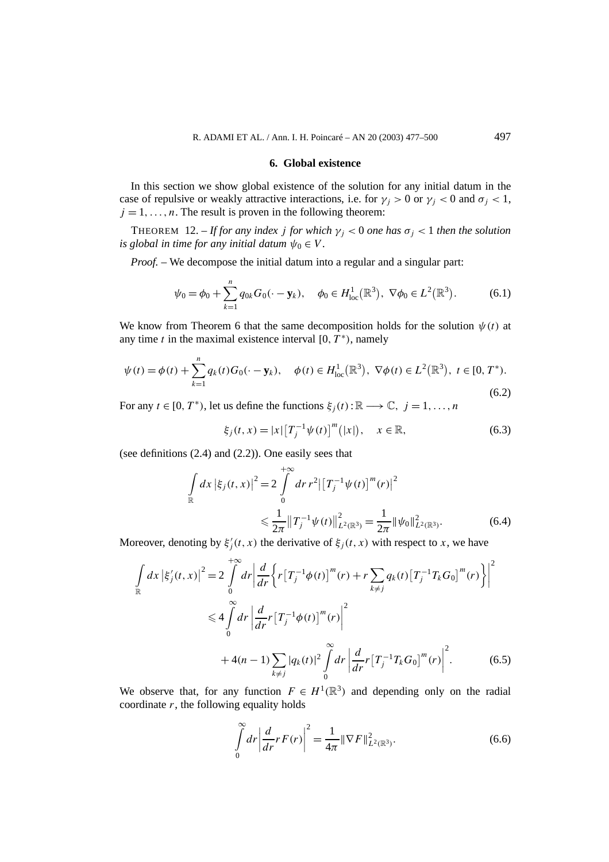#### **6. Global existence**

In this section we show global existence of the solution for any initial datum in the case of repulsive or weakly attractive interactions, i.e. for  $\gamma_i > 0$  or  $\gamma_i < 0$  and  $\sigma_i < 1$ ,  $j = 1, \ldots, n$ . The result is proven in the following theorem:

THEOREM 12. – *If for any index j for which*  $\gamma_i < 0$  *one has*  $\sigma_i < 1$  *then the solution is global in time for any initial datum*  $\psi_0 \in V$ .

*Proof.* – We decompose the initial datum into a regular and a singular part:

$$
\psi_0 = \phi_0 + \sum_{k=1}^n q_{0k} G_0(\cdot - \mathbf{y}_k), \quad \phi_0 \in H^1_{loc}(\mathbb{R}^3), \ \nabla \phi_0 \in L^2(\mathbb{R}^3). \tag{6.1}
$$

We know from Theorem 6 that the same decomposition holds for the solution  $\psi(t)$  at any time *t* in the maximal existence interval  $[0, T^* )$ , namely

$$
\psi(t) = \phi(t) + \sum_{k=1}^{n} q_k(t) G_0(\cdot - \mathbf{y}_k), \quad \phi(t) \in H^1_{loc}(\mathbb{R}^3), \ \nabla \phi(t) \in L^2(\mathbb{R}^3), \ t \in [0, T^*).
$$
\n(6.2)

For any  $t \in [0, T^*$ , let us define the functions  $\xi_i(t)$ :  $\mathbb{R} \longrightarrow \mathbb{C}$ ,  $j = 1, ..., n$ 

$$
\xi_j(t, x) = |x| [T_j^{-1} \psi(t)]^m (|x|), \quad x \in \mathbb{R}, \tag{6.3}
$$

(see definitions (2.4) and (2.2)). One easily sees that

$$
\int_{\mathbb{R}} dx \left| \xi_j(t, x) \right|^2 = 2 \int_{0}^{+\infty} dr \, r^2 \left| \left[ T_j^{-1} \psi(t) \right]^m(r) \right|^2
$$
\n
$$
\leq \frac{1}{2\pi} \left\| T_j^{-1} \psi(t) \right\|_{L^2(\mathbb{R}^3)}^2 = \frac{1}{2\pi} \left\| \psi_0 \right\|_{L^2(\mathbb{R}^3)}^2. \tag{6.4}
$$

Moreover, denoting by  $\xi_j'(t, x)$  the derivative of  $\xi_j(t, x)$  with respect to *x*, we have

$$
\int_{\mathbb{R}} dx \left| \xi_j'(t, x) \right|^2 = 2 \int_{0}^{+\infty} dr \left| \frac{d}{dr} \left\{ r \left[ T_j^{-1} \phi(t) \right]^m(r) + r \sum_{k \neq j} q_k(t) \left[ T_j^{-1} T_k G_0 \right]^m(r) \right\} \right|^2
$$
  

$$
\leq 4 \int_{0}^{\infty} dr \left| \frac{d}{dr} r \left[ T_j^{-1} \phi(t) \right]^m(r) \right|^2
$$
  

$$
+ 4(n-1) \sum_{k \neq j} |q_k(t)|^2 \int_{0}^{\infty} dr \left| \frac{d}{dr} r \left[ T_j^{-1} T_k G_0 \right]^m(r) \right|^2.
$$
 (6.5)

We observe that, for any function  $F \in H^1(\mathbb{R}^3)$  and depending only on the radial coordinate *r*, the following equality holds

$$
\int_{0}^{\infty} dr \left| \frac{d}{dr} r F(r) \right|^{2} = \frac{1}{4\pi} \|\nabla F\|_{L^{2}(\mathbb{R}^{3})}^{2}.
$$
 (6.6)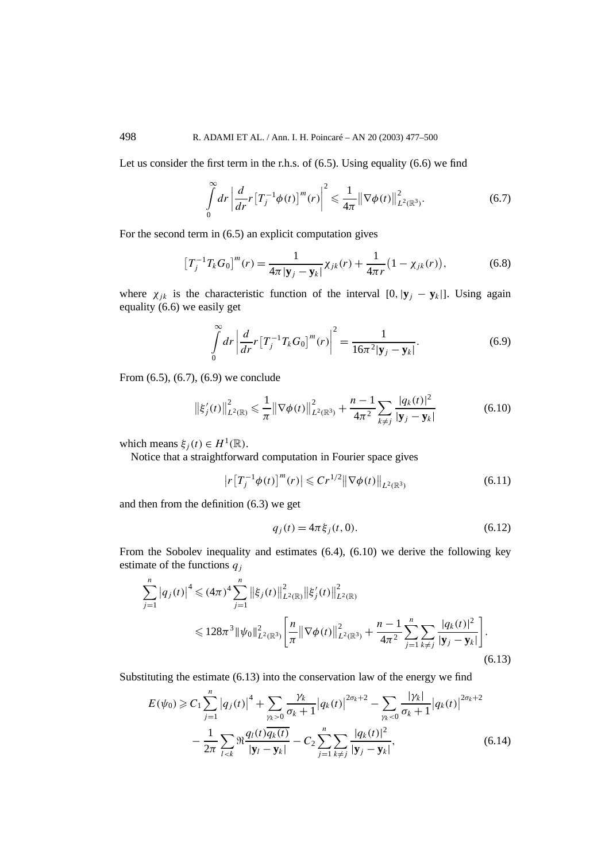Let us consider the first term in the r.h.s. of (6.5). Using equality (6.6) we find

$$
\int_{0}^{\infty} dr \left| \frac{d}{dr} r \left[ T_j^{-1} \phi(t) \right]^m(r) \right|^2 \leq \frac{1}{4\pi} \left\| \nabla \phi(t) \right\|_{L^2(\mathbb{R}^3)}^2. \tag{6.7}
$$

For the second term in (6.5) an explicit computation gives

$$
\left[T_j^{-1}T_kG_0\right]^m(r) = \frac{1}{4\pi|\mathbf{y}_j - \mathbf{y}_k|} \chi_{jk}(r) + \frac{1}{4\pi r} \left(1 - \chi_{jk}(r)\right),\tag{6.8}
$$

where  $\chi_{ik}$  is the characteristic function of the interval  $[0,|\mathbf{y}_i - \mathbf{y}_k|]$ . Using again equality (6.6) we easily get

$$
\int_{0}^{\infty} dr \left| \frac{d}{dr} r \left[ T_j^{-1} T_k G_0 \right]^m(r) \right|^2 = \frac{1}{16\pi^2 |\mathbf{y}_j - \mathbf{y}_k|}.
$$
\n(6.9)

From (6.5), (6.7), (6.9) we conclude

$$
\left\|\xi_j'(t)\right\|_{L^2(\mathbb{R})}^2 \leq \frac{1}{\pi} \left\|\nabla\phi(t)\right\|_{L^2(\mathbb{R}^3)}^2 + \frac{n-1}{4\pi^2} \sum_{k \neq j} \frac{|q_k(t)|^2}{|\mathbf{y}_j - \mathbf{y}_k|} \tag{6.10}
$$

which means  $\xi_i(t) \in H^1(\mathbb{R})$ .

Notice that a straightforward computation in Fourier space gives

$$
|r[T_j^{-1}\phi(t)]^m(r)| \leq C r^{1/2} \|\nabla \phi(t)\|_{L^2(\mathbb{R}^3)}
$$
\n(6.11)

and then from the definition (6.3) we get

$$
q_j(t) = 4\pi \xi_j(t, 0). \tag{6.12}
$$

From the Sobolev inequality and estimates (6.4), (6.10) we derive the following key estimate of the functions *qj*

$$
\sum_{j=1}^{n} |q_j(t)|^4 \leq (4\pi)^4 \sum_{j=1}^{n} ||\xi_j(t)||_{L^2(\mathbb{R})}^2 ||\xi'_j(t)||_{L^2(\mathbb{R})}^2
$$
  

$$
\leq 128\pi^3 ||\psi_0||_{L^2(\mathbb{R}^3)}^2 \left[ \frac{n}{\pi} ||\nabla \phi(t)||_{L^2(\mathbb{R}^3)}^2 + \frac{n-1}{4\pi^2} \sum_{j=1}^{n} \sum_{k \neq j} \frac{|q_k(t)|^2}{|\mathbf{y}_j - \mathbf{y}_k|} \right].
$$
\n(6.13)

Substituting the estimate (6.13) into the conservation law of the energy we find

$$
E(\psi_0) \geq C_1 \sum_{j=1}^n |q_j(t)|^4 + \sum_{\gamma_k > 0} \frac{\gamma_k}{\sigma_k + 1} |q_k(t)|^{2\sigma_k + 2} - \sum_{\gamma_k < 0} \frac{|\gamma_k|}{\sigma_k + 1} |q_k(t)|^{2\sigma_k + 2} - \frac{1}{2\pi} \sum_{l < k} \Re \frac{q_l(t) \overline{q_k(t)}}{|\mathbf{y}_l - \mathbf{y}_k|} - C_2 \sum_{j=1}^n \sum_{k \neq j} \frac{|q_k(t)|^2}{|\mathbf{y}_j - \mathbf{y}_k|},\tag{6.14}
$$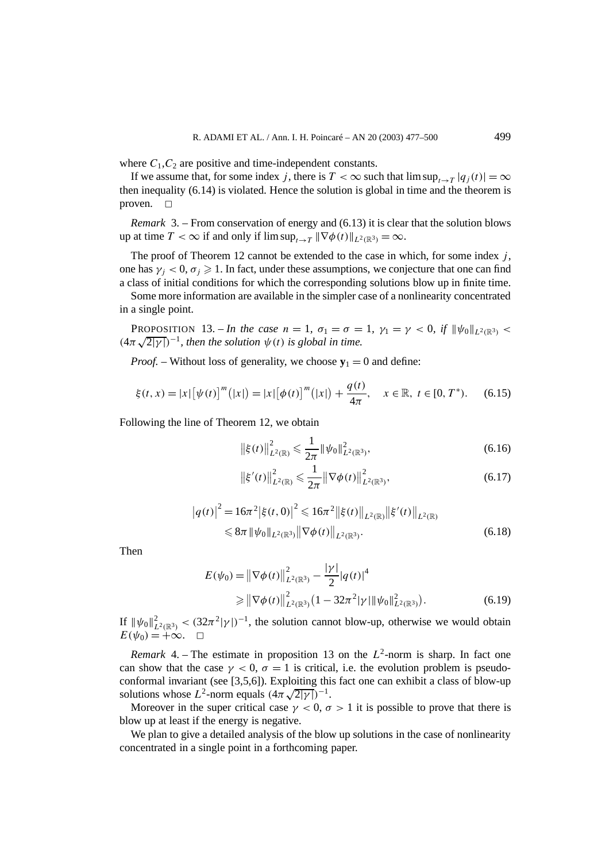where  $C_1$ ,  $C_2$  are positive and time-independent constants.

If we assume that, for some index *j*, there is  $T < \infty$  such that  $\limsup_{t \to T} |q_i(t)| = \infty$ then inequality (6.14) is violated. Hence the solution is global in time and the theorem is proven.  $\Box$ 

*Remark* 3. – From conservation of energy and (6.13) it is clear that the solution blows up at time  $T < \infty$  if and only if  $\limsup_{t \to T} ||\nabla \phi(t)||_{L^2(\mathbb{R}^3)} = \infty$ .

The proof of Theorem 12 cannot be extended to the case in which, for some index *j* , one has  $\gamma_i$  < 0,  $\sigma_i \ge 1$ . In fact, under these assumptions, we conjecture that one can find a class of initial conditions for which the corresponding solutions blow up in finite time.

Some more information are available in the simpler case of a nonlinearity concentrated in a single point.

**PROPOSITION** 13. – *In the case*  $n = 1$ ,  $\sigma_1 = \sigma = 1$ ,  $\gamma_1 = \gamma < 0$ , if  $\|\psi_0\|_{L^2(\mathbb{R}^3)}$ *(***4***π* $\sqrt{2|\gamma|}$ )<sup>-1</sup>*, then the solution*  $\psi(t)$  *is global in time.* 

*Proof.* – Without loss of generality, we choose  $y_1 = 0$  and define:

$$
\xi(t,x) = |x| \big[ \psi(t) \big]^m \big( |x| \big) = |x| \big[ \phi(t) \big]^m \big( |x| \big) + \frac{q(t)}{4\pi}, \quad x \in \mathbb{R}, \ t \in [0, T^*). \tag{6.15}
$$

Following the line of Theorem 12, we obtain

$$
\left\|\xi(t)\right\|_{L^2(\mathbb{R})}^2 \leq \frac{1}{2\pi} \left\|\psi_0\right\|_{L^2(\mathbb{R}^3)}^2, \tag{6.16}
$$

$$
\left\|\xi'(t)\right\|_{L^2(\mathbb{R})}^2 \leq \frac{1}{2\pi} \left\|\nabla\phi(t)\right\|_{L^2(\mathbb{R}^3)}^2, \tag{6.17}
$$

$$
|q(t)|^2 = 16\pi^2 |\xi(t,0)|^2 \leq 16\pi^2 ||\xi(t)||_{L^2(\mathbb{R})} ||\xi'(t)||_{L^2(\mathbb{R})}
$$
  
\$\leq \frac{8\pi}{\psi\_0} ||\psi\_0||\_{L^2(\mathbb{R}^3)} ||\nabla \phi(t)||\_{L^2(\mathbb{R}^3)}. \tag{6.18}

Then

$$
E(\psi_0) = \|\nabla \phi(t)\|_{L^2(\mathbb{R}^3)}^2 - \frac{|\gamma|}{2} |q(t)|^4
$$
  
\n
$$
\geq \|\nabla \phi(t)\|_{L^2(\mathbb{R}^3)}^2 (1 - 32\pi^2 |\gamma| \|\psi_0\|_{L^2(\mathbb{R}^3)}^2).
$$
 (6.19)

If  $\|\psi_0\|_{L^2(\mathbb{R}^3)}^2 < (32\pi^2|\gamma|)^{-1}$ , the solution cannot blow-up, otherwise we would obtain  $E(\psi_0) = +\infty$ .  $\Box$ 

*Remark* 4. – The estimate in proposition 13 on the  $L^2$ -norm is sharp. In fact one can show that the case  $\gamma < 0$ ,  $\sigma = 1$  is critical, i.e. the evolution problem is pseudoconformal invariant (see [3,5,6]). Exploiting this fact one can exhibit a class of blow-up conformal invariant (see [5,5,6]). Exploiting this solutions whose  $L^2$ -norm equals  $(4\pi\sqrt{2|\gamma|})^{-1}$ .

Moreover in the super critical case  $\gamma < 0$ ,  $\sigma > 1$  it is possible to prove that there is blow up at least if the energy is negative.

We plan to give a detailed analysis of the blow up solutions in the case of nonlinearity concentrated in a single point in a forthcoming paper.